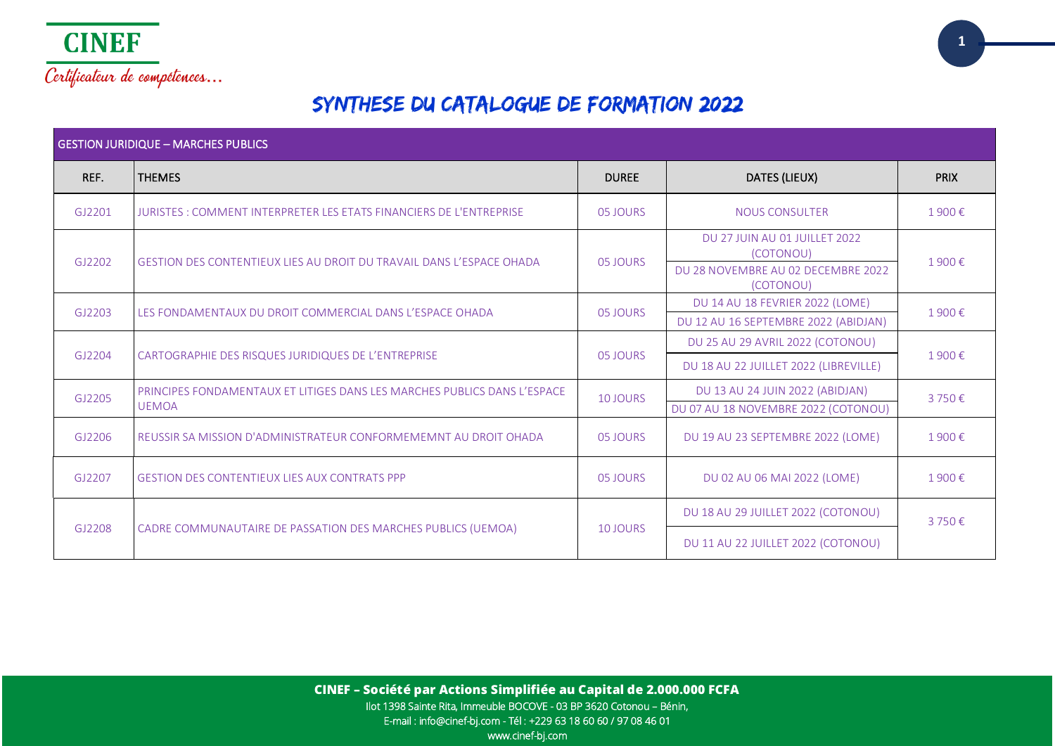

# SYNTHESE DU CATALOGUE DE FORMATION 2022

| <b>GESTION JURIDIQUE - MARCHES PUBLICS</b> |                                                                                          |                 |                                                                                               |             |  |
|--------------------------------------------|------------------------------------------------------------------------------------------|-----------------|-----------------------------------------------------------------------------------------------|-------------|--|
| REF.                                       | <b>THEMES</b>                                                                            | <b>DUREE</b>    | DATES (LIEUX)                                                                                 | <b>PRIX</b> |  |
| GJ2201                                     | JURISTES : COMMENT INTERPRETER LES ETATS FINANCIERS DE L'ENTREPRISE                      | 05 JOURS        | <b>NOUS CONSULTER</b>                                                                         | 1900€       |  |
| GJ2202                                     | GESTION DES CONTENTIEUX LIES AU DROIT DU TRAVAIL DANS L'ESPACE OHADA                     | 05 JOURS        | DU 27 JUIN AU 01 JUILLET 2022<br>(COTONOU)<br>DU 28 NOVEMBRE AU 02 DECEMBRE 2022<br>(COTONOU) | 1900€       |  |
| GJ2203                                     | LES FONDAMENTAUX DU DROIT COMMERCIAL DANS L'ESPACE OHADA                                 | 05 JOURS        | DU 14 AU 18 FEVRIER 2022 (LOME)<br>DU 12 AU 16 SEPTEMBRE 2022 (ABIDJAN)                       | 1900€       |  |
| GJ2204                                     | CARTOGRAPHIE DES RISQUES JURIDIQUES DE L'ENTREPRISE                                      | 05 JOURS        | DU 25 AU 29 AVRIL 2022 (COTONOU)<br>DU 18 AU 22 JUILLET 2022 (LIBREVILLE)                     | 1900€       |  |
| GJ2205                                     | PRINCIPES FONDAMENTAUX ET LITIGES DANS LES MARCHES PUBLICS DANS L'ESPACE<br><b>UEMOA</b> | <b>10 JOURS</b> | DU 13 AU 24 JUIN 2022 (ABIDJAN)<br>DU 07 AU 18 NOVEMBRE 2022 (COTONOU)                        | 3750€       |  |
| GJ2206                                     | REUSSIR SA MISSION D'ADMINISTRATEUR CONFORMEMEMNT AU DROIT OHADA                         | 05 JOURS        | DU 19 AU 23 SEPTEMBRE 2022 (LOME)                                                             | 1900€       |  |
| GJ2207                                     | <b>GESTION DES CONTENTIEUX LIES AUX CONTRATS PPP</b>                                     | 05 JOURS        | DU 02 AU 06 MAI 2022 (LOME)                                                                   | 1900€       |  |
|                                            |                                                                                          |                 | DU 18 AU 29 JUILLET 2022 (COTONOU)                                                            | 3750€       |  |
| GJ2208                                     | CADRE COMMUNAUTAIRE DE PASSATION DES MARCHES PUBLICS (UEMOA)                             | 10 JOURS        | DU 11 AU 22 JUILLET 2022 (COTONOU)                                                            |             |  |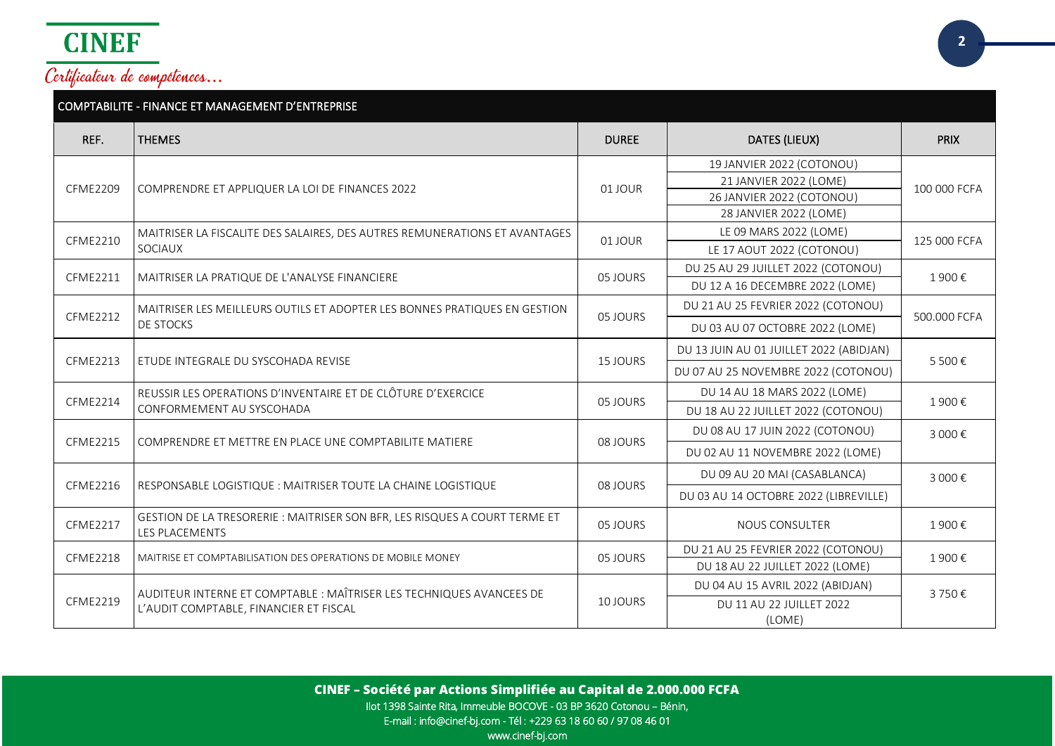

| COMPTABILITE - FINANCE ET MANAGEMENT D'ENTREPRISE |                                                                                                     |              |                                         |              |  |
|---------------------------------------------------|-----------------------------------------------------------------------------------------------------|--------------|-----------------------------------------|--------------|--|
| REF.                                              | <b>THEMES</b>                                                                                       | <b>DUREE</b> | DATES (LIEUX)                           | <b>PRIX</b>  |  |
|                                                   |                                                                                                     |              | 19 JANVIER 2022 (COTONOU)               |              |  |
| <b>CFME2209</b>                                   | COMPRENDRE ET APPLIQUER LA LOI DE FINANCES 2022                                                     | 01 JOUR      | 21 JANVIER 2022 (LOME)                  | 100 000 FCFA |  |
|                                                   |                                                                                                     |              | 26 JANVIER 2022 (COTONOU)               |              |  |
|                                                   |                                                                                                     |              | 28 JANVIER 2022 (LOME)                  |              |  |
| <b>CFME2210</b>                                   | MAITRISER LA FISCALITE DES SALAIRES, DES AUTRES REMUNERATIONS ET AVANTAGES                          | 01 JOUR      | LE 09 MARS 2022 (LOME)                  | 125 000 FCFA |  |
|                                                   | SOCIAUX                                                                                             |              | LE 17 AOUT 2022 (COTONOU)               |              |  |
| CFME2211                                          | MAITRISER LA PRATIQUE DE L'ANALYSE FINANCIERE                                                       | 05 JOURS     | DU 25 AU 29 JUILLET 2022 (COTONOU)      | 1900€        |  |
|                                                   |                                                                                                     |              | DU 12 A 16 DECEMBRE 2022 (LOME)         |              |  |
| <b>CFME2212</b>                                   | MAITRISER LES MEILLEURS OUTILS ET ADOPTER LES BONNES PRATIQUES EN GESTION                           | 05 JOURS     | DU 21 AU 25 FEVRIER 2022 (COTONOU)      | 500,000 FCFA |  |
|                                                   | DE STOCKS                                                                                           |              | DU 03 AU 07 OCTOBRE 2022 (LOME)         |              |  |
| <b>CFME2213</b>                                   | ETUDE INTEGRALE DU SYSCOHADA REVISE                                                                 | 15 JOURS     | DU 13 JUIN AU 01 JUILLET 2022 (ABIDJAN) | 5 500€       |  |
|                                                   |                                                                                                     |              | DU 07 AU 25 NOVEMBRE 2022 (COTONOU)     |              |  |
| <b>CFME2214</b>                                   | REUSSIR LES OPERATIONS D'INVENTAIRE ET DE CLÔTURE D'EXERCICE                                        | 05 JOURS     | DU 14 AU 18 MARS 2022 (LOME)            | 1900€        |  |
|                                                   | CONFORMEMENT AU SYSCOHADA                                                                           |              | DU 18 AU 22 JUILLET 2022 (COTONOU)      |              |  |
| <b>CFME2215</b>                                   | COMPRENDRE ET METTRE EN PLACE UNE COMPTABILITE MATIERE                                              | 08 JOURS     | DU 08 AU 17 JUIN 2022 (COTONOU)         | 3 000€       |  |
|                                                   |                                                                                                     |              | DU 02 AU 11 NOVEMBRE 2022 (LOME)        |              |  |
| <b>CFME2216</b>                                   | RESPONSABLE LOGISTIQUE : MAITRISER TOUTE LA CHAINE LOGISTIQUE                                       | 08 JOURS     | DU 09 AU 20 MAI (CASABLANCA)            | 3 000€       |  |
|                                                   |                                                                                                     |              | DU 03 AU 14 OCTOBRE 2022 (LIBREVILLE)   |              |  |
| <b>CFME2217</b>                                   | GESTION DE LA TRESORERIE : MAITRISER SON BFR, LES RISQUES A COURT TERME ET<br><b>LES PLACEMENTS</b> | 05 JOURS     | <b>NOUS CONSULTER</b>                   | 1900€        |  |
| <b>CFME2218</b>                                   | MAITRISE ET COMPTABILISATION DES OPERATIONS DE MOBILE MONEY                                         | 05 JOURS     | DU 21 AU 25 FEVRIER 2022 (COTONOU)      | 1900€        |  |
|                                                   |                                                                                                     |              | DU 18 AU 22 JUILLET 2022 (LOME)         |              |  |
|                                                   | AUDITEUR INTERNE ET COMPTABLE : MAÎTRISER LES TECHNIQUES AVANCEES DE                                |              | DU 04 AU 15 AVRIL 2022 (ABIDJAN)        | 3750€        |  |
| <b>CFME2219</b>                                   | L'AUDIT COMPTABLE, FINANCIER ET FISCAL                                                              | 10 JOURS     | DU 11 AU 22 JUILLET 2022                |              |  |
|                                                   |                                                                                                     |              | (LOME)                                  |              |  |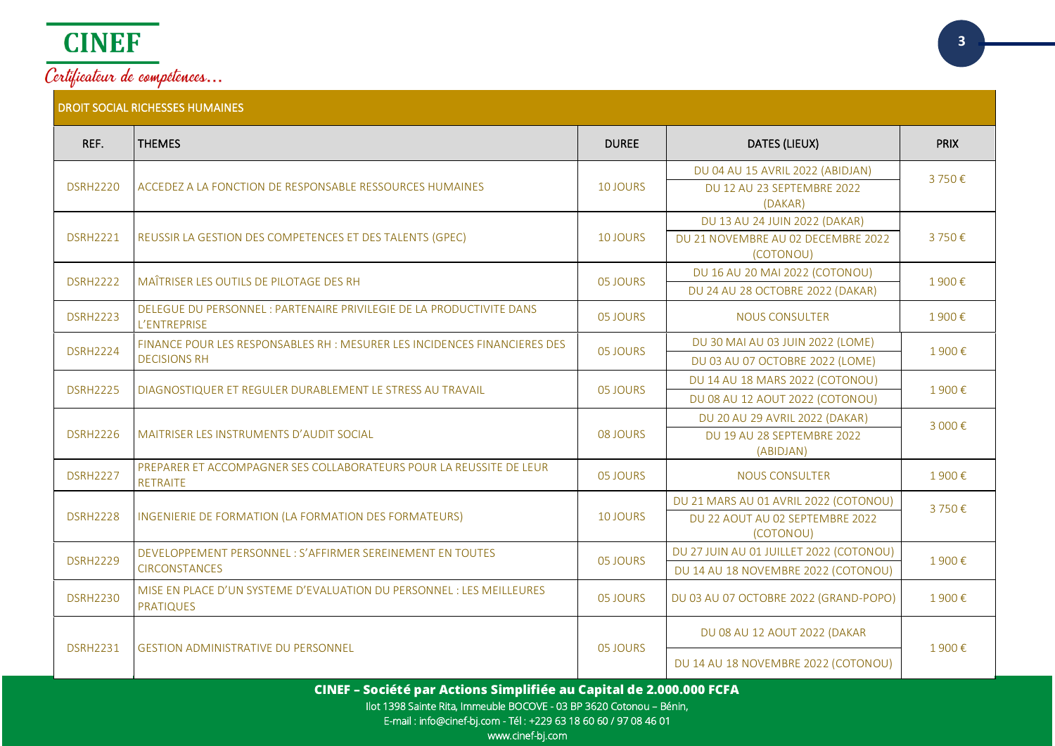

| REF.                                                                | <b>THEMES</b>                                                                             | <b>DUREE</b>    | DATES (LIEUX)                                   | <b>PRIX</b> |
|---------------------------------------------------------------------|-------------------------------------------------------------------------------------------|-----------------|-------------------------------------------------|-------------|
| <b>DSRH2220</b>                                                     | ACCEDEZ A LA FONCTION DE RESPONSABLE RESSOURCES HUMAINES                                  | 10 JOURS        | DU 04 AU 15 AVRIL 2022 (ABIDJAN)                | 3750€       |
|                                                                     |                                                                                           |                 | DU 12 AU 23 SEPTEMBRE 2022<br>(DAKAR)           |             |
|                                                                     |                                                                                           |                 | DU 13 AU 24 JUIN 2022 (DAKAR)                   |             |
| <b>DSRH2221</b>                                                     | REUSSIR LA GESTION DES COMPETENCES ET DES TALENTS (GPEC)                                  | <b>10 JOURS</b> | DU 21 NOVEMBRE AU 02 DECEMBRE 2022<br>(COTONOU) | 3750€       |
| <b>DSRH2222</b>                                                     | MAÎTRISER LES OUTILS DE PILOTAGE DES RH                                                   | 05 JOURS        | DU 16 AU 20 MAI 2022 (COTONOU)                  | 1900€       |
|                                                                     |                                                                                           |                 | DU 24 AU 28 OCTOBRE 2022 (DAKAR)                |             |
| <b>DSRH2223</b>                                                     | DELEGUE DU PERSONNEL : PARTENAIRE PRIVILEGIE DE LA PRODUCTIVITE DANS<br>L'ENTREPRISE      | 05 JOURS        | <b>NOUS CONSULTER</b>                           | 1900€       |
| <b>DSRH2224</b>                                                     | FINANCE POUR LES RESPONSABLES RH : MESURER LES INCIDENCES FINANCIERES DES                 | 05 JOURS        | DU 30 MAI AU 03 JUIN 2022 (LOME)                | 1900€       |
|                                                                     | <b>DECISIONS RH</b>                                                                       |                 | DU 03 AU 07 OCTOBRE 2022 (LOME)                 |             |
| <b>DSRH2225</b>                                                     | DIAGNOSTIQUER ET REGULER DURABLEMENT LE STRESS AU TRAVAIL                                 | 05 JOURS        | DU 14 AU 18 MARS 2022 (COTONOU)                 | 1900€       |
|                                                                     |                                                                                           |                 | DU 08 AU 12 AOUT 2022 (COTONOU)                 |             |
|                                                                     |                                                                                           |                 | DU 20 AU 29 AVRIL 2022 (DAKAR)                  | 3 000€      |
| <b>DSRH2226</b>                                                     | MAITRISER LES INSTRUMENTS D'AUDIT SOCIAL                                                  | 08 JOURS        | DU 19 AU 28 SEPTEMBRE 2022<br>(ABIDJAN)         |             |
| <b>DSRH2227</b>                                                     | PREPARER ET ACCOMPAGNER SES COLLABORATEURS POUR LA REUSSITE DE LEUR<br><b>RETRAITE</b>    | 05 JOURS        | <b>NOUS CONSULTER</b>                           | 1900€       |
|                                                                     |                                                                                           |                 | DU 21 MARS AU 01 AVRIL 2022 (COTONOU)           | 3750€       |
| <b>DSRH2228</b>                                                     | INGENIERIE DE FORMATION (LA FORMATION DES FORMATEURS)                                     | <b>10 JOURS</b> | DU 22 AOUT AU 02 SEPTEMBRE 2022<br>(COTONOU)    |             |
| <b>DSRH2229</b>                                                     | DEVELOPPEMENT PERSONNEL : S'AFFIRMER SEREINEMENT EN TOUTES                                | 05 JOURS        | DU 27 JUIN AU 01 JUILLET 2022 (COTONOU)         | 1900€       |
|                                                                     | <b>CIRCONSTANCES</b>                                                                      |                 | DU 14 AU 18 NOVEMBRE 2022 (COTONOU)             |             |
| <b>DSRH2230</b>                                                     | MISE EN PLACE D'UN SYSTEME D'EVALUATION DU PERSONNEL : LES MEILLEURES<br><b>PRATIQUES</b> | 05 JOURS        | DU 03 AU 07 OCTOBRE 2022 (GRAND-POPO)           | 1900€       |
| <b>DSRH2231</b>                                                     | <b>GESTION ADMINISTRATIVE DU PERSONNEL</b>                                                | 05 JOURS        | DU 08 AU 12 AOUT 2022 (DAKAR                    | 1900€       |
|                                                                     |                                                                                           |                 | DU 14 AU 18 NOVEMBRE 2022 (COTONOU)             |             |
| CINEF - Société par Actions Simplifiée au Capital de 2.000.000 FCFA |                                                                                           |                 |                                                 |             |

Ilot 1398 Sainte Rita, Immeuble BOCOVE - 03 BP 3620 Cotonou – Bénin,

E-mail : info@cinef-bj.com - Tél : +229 63 18 60 60 / 97 08 46 01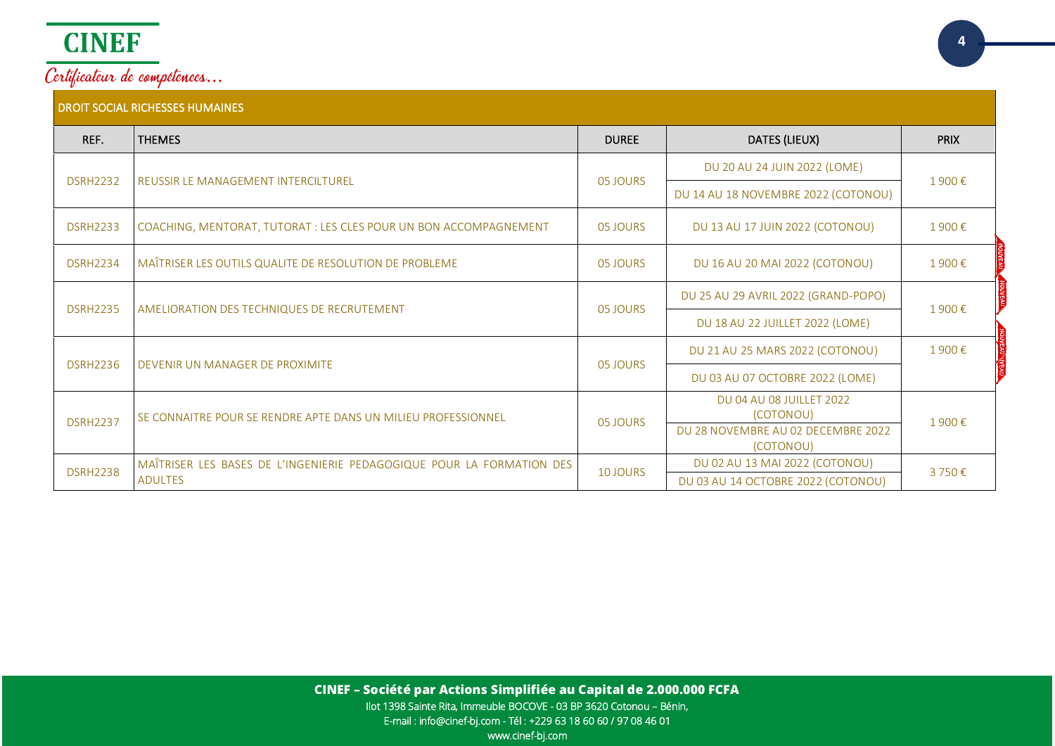

| REF.            | <b>THEMES</b>                                                             | <b>DUREE</b>                        | DATES (LIEUX)                                   | <b>PRIX</b> |
|-----------------|---------------------------------------------------------------------------|-------------------------------------|-------------------------------------------------|-------------|
|                 |                                                                           |                                     | DU 20 AU 24 JUIN 2022 (LOME)                    |             |
| <b>DSRH2232</b> | REUSSIR LE MANAGEMENT INTERCILTUREL                                       | 05 JOURS                            | DU 14 AU 18 NOVEMBRE 2022 (COTONOU)             | 1900€       |
| <b>DSRH2233</b> | COACHING, MENTORAT, TUTORAT : LES CLES POUR UN BON ACCOMPAGNEMENT         | 05 JOURS                            | DU 13 AU 17 JUIN 2022 (COTONOU)                 | 1900€       |
| <b>DSRH2234</b> | MAÎTRISER LES OUTILS QUALITE DE RESOLUTION DE PROBLEME                    | 05 JOURS                            | DU 16 AU 20 MAI 2022 (COTONOU)                  | 1900€       |
|                 | <b>DSRH2235</b><br>AMELIORATION DES TECHNIQUES DE RECRUTEMENT<br>05 JOURS | DU 25 AU 29 AVRIL 2022 (GRAND-POPO) |                                                 |             |
|                 |                                                                           | DU 18 AU 22 JUILLET 2022 (LOME)     | 1900€                                           |             |
|                 |                                                                           |                                     | DU 21 AU 25 MARS 2022 (COTONOU)                 | 1900€       |
| <b>DSRH2236</b> | DEVENIR UN MANAGER DE PROXIMITE                                           | 05 JOURS                            | DU 03 AU 07 OCTOBRE 2022 (LOME)                 |             |
|                 |                                                                           |                                     | DU 04 AU 08 JUILLET 2022                        |             |
| <b>DSRH2237</b> | SE CONNAITRE POUR SE RENDRE APTE DANS UN MILIEU PROFESSIONNEL             | 05 JOURS                            | (COTONOU)<br>DU 28 NOVEMBRE AU 02 DECEMBRE 2022 | 1900€       |
|                 |                                                                           |                                     | (COTONOU)                                       |             |
| <b>DSRH2238</b> | MAÎTRISER LES BASES DE L'INGENIERIE PEDAGOGIQUE POUR LA FORMATION DES     | 10 JOURS                            | DU 02 AU 13 MAI 2022 (COTONOU)                  | 3750€       |
|                 | <b>ADULTES</b>                                                            |                                     | DU 03 AU 14 OCTOBRE 2022 (COTONOU)              |             |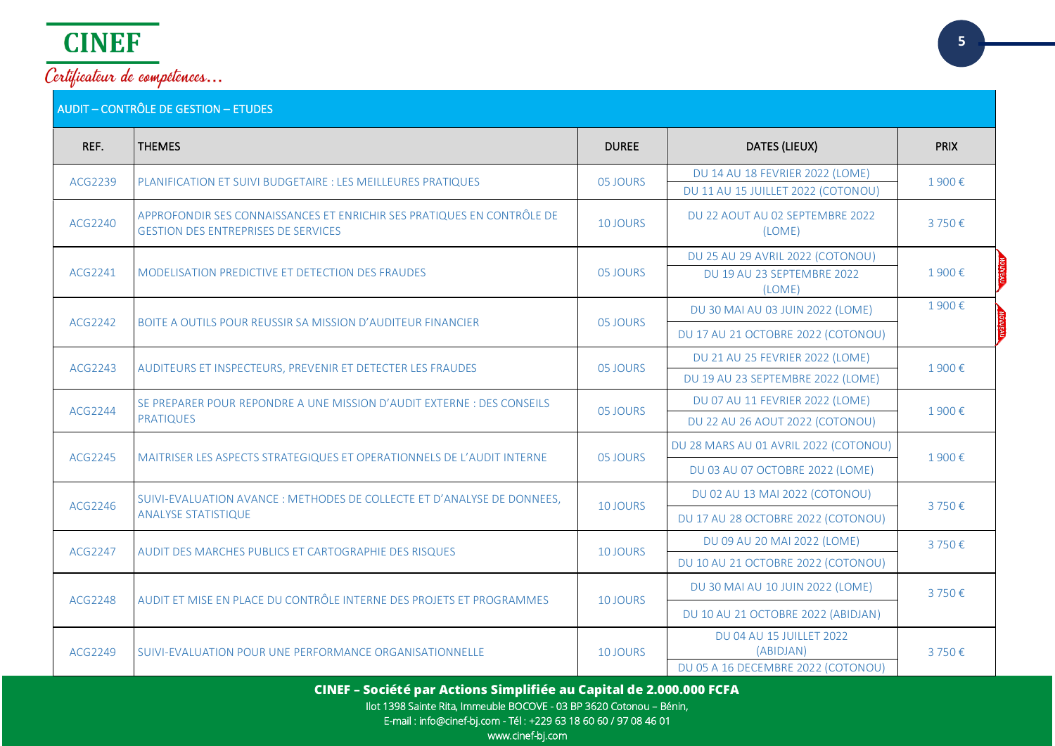

| REF.    | <b>THEMES</b>                                                                                                        | <b>DUREE</b>    | DATES (LIEUX)                                                            | <b>PRIX</b> |
|---------|----------------------------------------------------------------------------------------------------------------------|-----------------|--------------------------------------------------------------------------|-------------|
| ACG2239 | PLANIFICATION ET SUIVI BUDGETAIRE : LES MEILLEURES PRATIQUES                                                         | 05 JOURS        | DU 14 AU 18 FEVRIER 2022 (LOME)<br>DU 11 AU 15 JUILLET 2022 (COTONOU)    | 1900€       |
| ACG2240 | APPROFONDIR SES CONNAISSANCES ET ENRICHIR SES PRATIQUES EN CONTRÔLE DE<br><b>GESTION DES ENTREPRISES DE SERVICES</b> | <b>10 JOURS</b> | DU 22 AOUT AU 02 SEPTEMBRE 2022<br>(LOME)                                | 3750€       |
| ACG2241 | MODELISATION PREDICTIVE ET DETECTION DES FRAUDES                                                                     | 05 JOURS        | DU 25 AU 29 AVRIL 2022 (COTONOU)<br>DU 19 AU 23 SEPTEMBRE 2022<br>(LOME) | 1900€       |
|         |                                                                                                                      |                 | DU 30 MAI AU 03 JUIN 2022 (LOME)                                         | 1900€       |
| ACG2242 | BOITE A OUTILS POUR REUSSIR SA MISSION D'AUDITEUR FINANCIER                                                          | 05 JOURS        | DU 17 AU 21 OCTOBRE 2022 (COTONOU)                                       |             |
| ACG2243 |                                                                                                                      | 05 JOURS        | DU 21 AU 25 FEVRIER 2022 (LOME)                                          | 1900€       |
|         | AUDITEURS ET INSPECTEURS, PREVENIR ET DETECTER LES FRAUDES                                                           |                 | DU 19 AU 23 SEPTEMBRE 2022 (LOME)                                        |             |
| ACG2244 | SE PREPARER POUR REPONDRE A UNE MISSION D'AUDIT EXTERNE : DES CONSEILS                                               | 05 JOURS        | DU 07 AU 11 FEVRIER 2022 (LOME)                                          | 1900€       |
|         | <b>PRATIQUES</b>                                                                                                     |                 | DU 22 AU 26 AOUT 2022 (COTONOU)                                          |             |
| ACG2245 |                                                                                                                      | 05 JOURS        | DU 28 MARS AU 01 AVRIL 2022 (COTONOU)                                    | 1900€       |
|         | MAITRISER LES ASPECTS STRATEGIQUES ET OPERATIONNELS DE L'AUDIT INTERNE                                               |                 | DU 03 AU 07 OCTOBRE 2022 (LOME)                                          |             |
|         | SUIVI-EVALUATION AVANCE : METHODES DE COLLECTE ET D'ANALYSE DE DONNEES,                                              |                 | DU 02 AU 13 MAI 2022 (COTONOU)                                           | 3750€       |
| ACG2246 | <b>ANALYSE STATISTIQUE</b>                                                                                           | 10 JOURS        | DU 17 AU 28 OCTOBRE 2022 (COTONOU)                                       |             |
| ACG2247 |                                                                                                                      | 10 JOURS        | DU 09 AU 20 MAI 2022 (LOME)                                              | 3750€       |
|         | AUDIT DES MARCHES PUBLICS ET CARTOGRAPHIE DES RISQUES                                                                |                 | DU 10 AU 21 OCTOBRE 2022 (COTONOU)                                       |             |
|         | AUDIT ET MISE EN PLACE DU CONTRÔLE INTERNE DES PROJETS ET PROGRAMMES                                                 |                 | DU 30 MAI AU 10 JUIN 2022 (LOME)                                         | 3750€       |
| ACG2248 |                                                                                                                      | 10 JOURS        | DU 10 AU 21 OCTOBRE 2022 (ABIDJAN)                                       |             |
| ACG2249 | SUIVI-EVALUATION POUR UNE PERFORMANCE ORGANISATIONNELLE                                                              | 10 JOURS        | <b>DU 04 AU 15 JUILLET 2022</b><br>(ABIDJAN)                             | 3750€       |
|         |                                                                                                                      |                 | DU 05 A 16 DECEMBRE 2022 (COTONOU)                                       |             |

**CINEF – Société par Actions Simplifiée au Capital de 2.000.000 FCFA**

Ilot 1398 Sainte Rita, Immeuble BOCOVE - 03 BP 3620 Cotonou – Bénin,

E-mail : info@cinef-bj.com - Tél : +229 63 18 60 60 / 97 08 46 01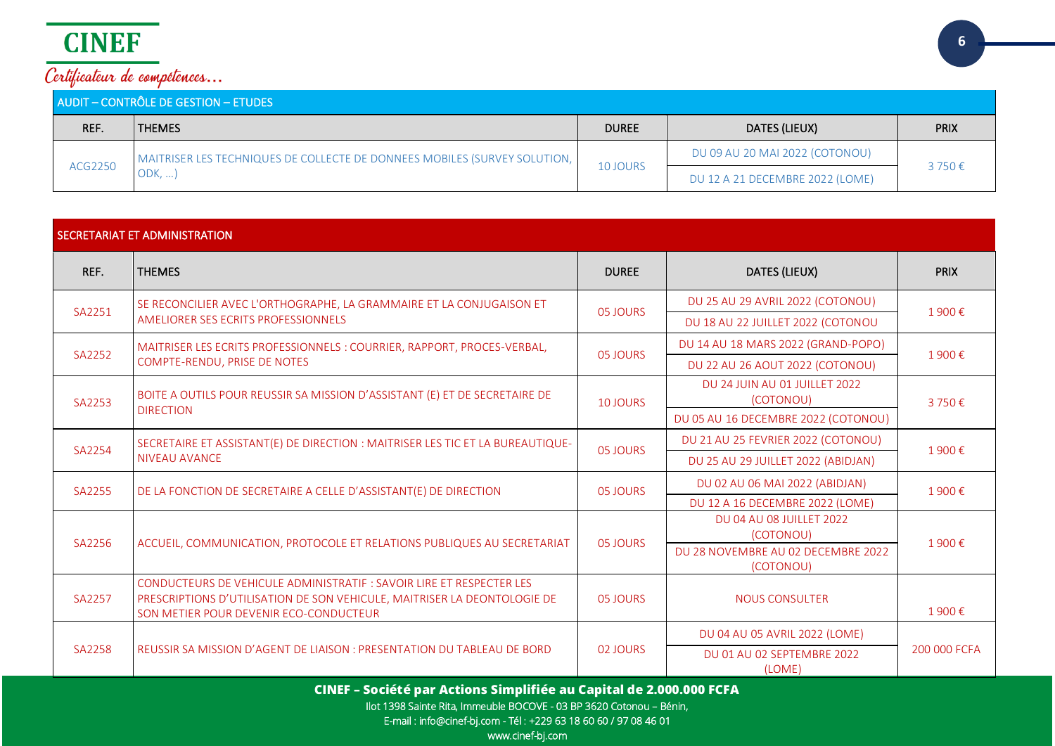| AUDIT - CONTRÔLE DE GESTION - ETUDES |                                                                           |                                             |                                |             |
|--------------------------------------|---------------------------------------------------------------------------|---------------------------------------------|--------------------------------|-------------|
| REF.                                 | <b>THEMES</b>                                                             | <b>DUREE</b>                                | DATES (LIEUX)                  | <b>PRIX</b> |
| ACG2250                              | MAITRISER LES TECHNIQUES DE COLLECTE DE DONNEES MOBILES (SURVEY SOLUTION, |                                             | DU 09 AU 20 MAI 2022 (COTONOU) | 3750€       |
|                                      | ODK, ,                                                                    | 10 JOURS<br>DU 12 A 21 DECEMBRE 2022 (LOME) |                                |             |

| SECRETARIAT ET ADMINISTRATION |                                                                                                                    |                 |                                                                             |              |
|-------------------------------|--------------------------------------------------------------------------------------------------------------------|-----------------|-----------------------------------------------------------------------------|--------------|
| REF.                          | <b>THEMES</b>                                                                                                      | <b>DUREE</b>    | DATES (LIEUX)                                                               | <b>PRIX</b>  |
| SA2251                        | SE RECONCILIER AVEC L'ORTHOGRAPHE, LA GRAMMAIRE ET LA CONJUGAISON ET<br>AMELIORER SES ECRITS PROFESSIONNELS        | 05 JOURS        | DU 25 AU 29 AVRIL 2022 (COTONOU)<br>DU 18 AU 22 JUILLET 2022 (COTONOU       | 1900€        |
| SA2252                        | MAITRISER LES ECRITS PROFESSIONNELS : COURRIER, RAPPORT, PROCES-VERBAL,<br>COMPTE-RENDU, PRISE DE NOTES            | 05 JOURS        | DU 14 AU 18 MARS 2022 (GRAND-POPO)<br>DU 22 AU 26 AOUT 2022 (COTONOU)       | 1900€        |
| SA2253                        | BOITE A OUTILS POUR REUSSIR SA MISSION D'ASSISTANT (E) ET DE SECRETAIRE DE<br><b>DIRECTION</b>                     | <b>10 JOURS</b> | DU 24 JUIN AU 01 JUILLET 2022<br>(COTONOU)                                  | 3750€        |
|                               |                                                                                                                    |                 | DU 05 AU 16 DECEMBRE 2022 (COTONOU)<br>DU 21 AU 25 FEVRIER 2022 (COTONOU)   |              |
| SA2254                        | SECRETAIRE ET ASSISTANT(E) DE DIRECTION : MAITRISER LES TIC ET LA BUREAUTIQUE-<br><b>NIVEAU AVANCE</b>             | 05 JOURS        | DU 25 AU 29 JUILLET 2022 (ABIDJAN)                                          | 1900€        |
| SA2255                        | DE LA FONCTION DE SECRETAIRE A CELLE D'ASSISTANT(E) DE DIRECTION                                                   | 05 JOURS        | DU 02 AU 06 MAI 2022 (ABIDJAN)<br>DU 12 A 16 DECEMBRE 2022 (LOME)           | 1900€        |
| SA2256                        | ACCUEIL, COMMUNICATION, PROTOCOLE ET RELATIONS PUBLIQUES AU SECRETARIAT                                            | 05 JOURS        | DU 04 AU 08 JUILLET 2022<br>(COTONOU)<br>DU 28 NOVEMBRE AU 02 DECEMBRE 2022 | 1900€        |
|                               | CONDUCTEURS DE VEHICULE ADMINISTRATIF : SAVOIR LIRE ET RESPECTER LES                                               |                 | (COTONOU)                                                                   |              |
| SA2257                        | PRESCRIPTIONS D'UTILISATION DE SON VEHICULE, MAITRISER LA DEONTOLOGIE DE<br>SON METIER POUR DEVENIR ECO-CONDUCTEUR | 05 IOURS        | <b>NOUS CONSULTER</b>                                                       | 1900€        |
|                               |                                                                                                                    |                 | DU 04 AU 05 AVRIL 2022 (LOME)                                               |              |
| SA2258                        | REUSSIR SA MISSION D'AGENT DE LIAISON : PRESENTATION DU TABLEAU DE BORD                                            | 02 JOURS        | DU 01 AU 02 SEPTEMBRE 2022<br>(LOME)                                        | 200 000 FCFA |

**CINEF – Société par Actions Simplifiée au Capital de 2.000.000 FCFA**

Ilot 1398 Sainte Rita, Immeuble BOCOVE - 03 BP 3620 Cotonou – Bénin,

E-mail : info@cinef-bj.com - Tél : +229 63 18 60 60 / 97 08 46 01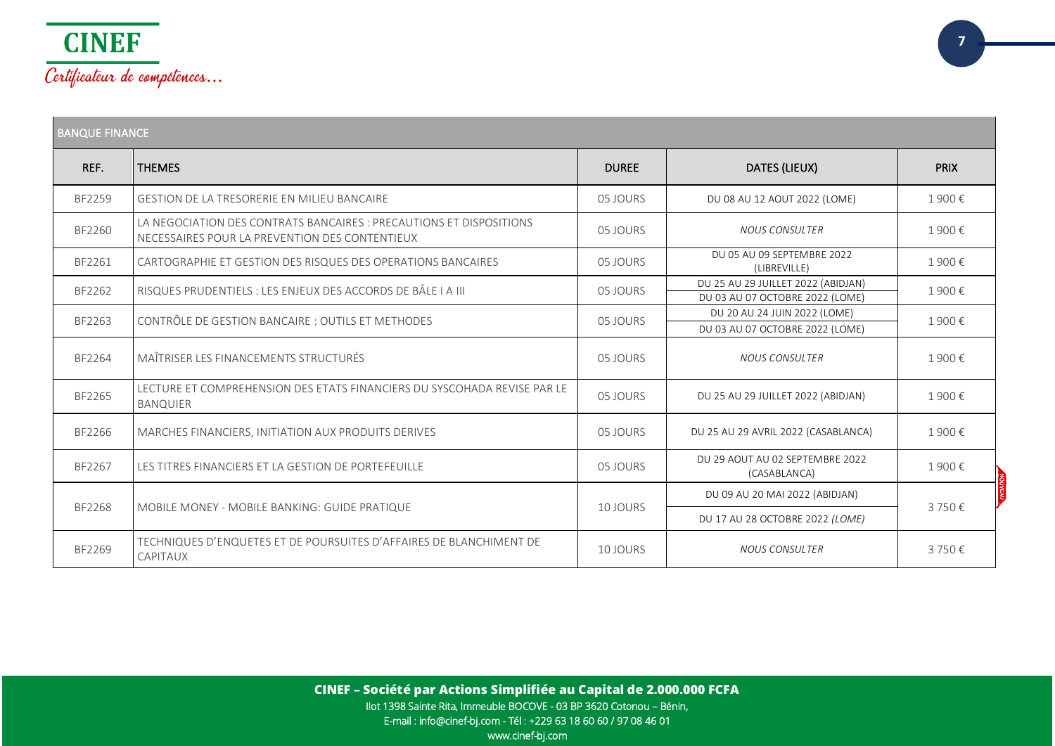

| <b>BANQUE FINANCE</b> |                                                                                                                       |              |                                                                       |             |
|-----------------------|-----------------------------------------------------------------------------------------------------------------------|--------------|-----------------------------------------------------------------------|-------------|
| REF.                  | <b>THEMES</b>                                                                                                         | <b>DUREE</b> | DATES (LIEUX)                                                         | <b>PRIX</b> |
| BF2259                | GESTION DE LA TRESORERIE EN MILIEU BANCAIRE                                                                           | 05 JOURS     | DU 08 AU 12 AOUT 2022 (LOME)                                          | 1900€       |
| BF2260                | LA NEGOCIATION DES CONTRATS BANCAIRES : PRECAUTIONS ET DISPOSITIONS<br>NECESSAIRES POUR LA PREVENTION DES CONTENTIEUX | 05 JOURS     | <b>NOUS CONSULTER</b>                                                 | 1900€       |
| BF2261                | CARTOGRAPHIE ET GESTION DES RISQUES DES OPERATIONS BANCAIRES                                                          | 05 JOURS     | DU 05 AU 09 SEPTEMBRE 2022<br>(LIBREVILLE)                            | 1900€       |
| BF2262                | RISQUES PRUDENTIELS : LES ENJEUX DES ACCORDS DE BÂLE I A III                                                          | 05 JOURS     | DU 25 AU 29 JUILLET 2022 (ABIDJAN)<br>DU 03 AU 07 OCTOBRE 2022 (LOME) | 1900€       |
| BF2263                | CONTRÔLE DE GESTION BANCAIRE : OUTILS ET METHODES                                                                     | 05 JOURS     | DU 20 AU 24 JUIN 2022 (LOME)<br>DU 03 AU 07 OCTOBRE 2022 (LOME)       | 1900€       |
| BF2264                | MAÎTRISER LES FINANCEMENTS STRUCTURÉS                                                                                 | 05 JOURS     | <b>NOUS CONSULTER</b>                                                 | 1900€       |
| BF2265                | LECTURE ET COMPREHENSION DES ETATS FINANCIERS DU SYSCOHADA REVISE PAR LE<br><b>BANQUIER</b>                           | 05 JOURS     | DU 25 AU 29 JUILLET 2022 (ABIDJAN)                                    | 1900€       |
| BF2266                | MARCHES FINANCIERS, INITIATION AUX PRODUITS DERIVES                                                                   | 05 JOURS     | DU 25 AU 29 AVRIL 2022 (CASABLANCA)                                   | 1900€       |
| BF2267                | LES TITRES FINANCIERS ET LA GESTION DE PORTEFEUILLE                                                                   | 05 JOURS     | DU 29 AOUT AU 02 SEPTEMBRE 2022<br>(CASABLANCA)                       | 1900€       |
|                       | MOBILE MONEY - MOBILE BANKING: GUIDE PRATIQUE                                                                         | 10 JOURS     | DU 09 AU 20 MAI 2022 (ABIDJAN)                                        | 3750€       |
| BF2268                |                                                                                                                       |              | DU 17 AU 28 OCTOBRE 2022 (LOME)                                       |             |
| BF2269                | TECHNIQUES D'ENQUETES ET DE POURSUITES D'AFFAIRES DE BLANCHIMENT DE<br>CAPITAUX                                       | 10 JOURS     | <b>NOUS CONSULTER</b>                                                 | 3750€       |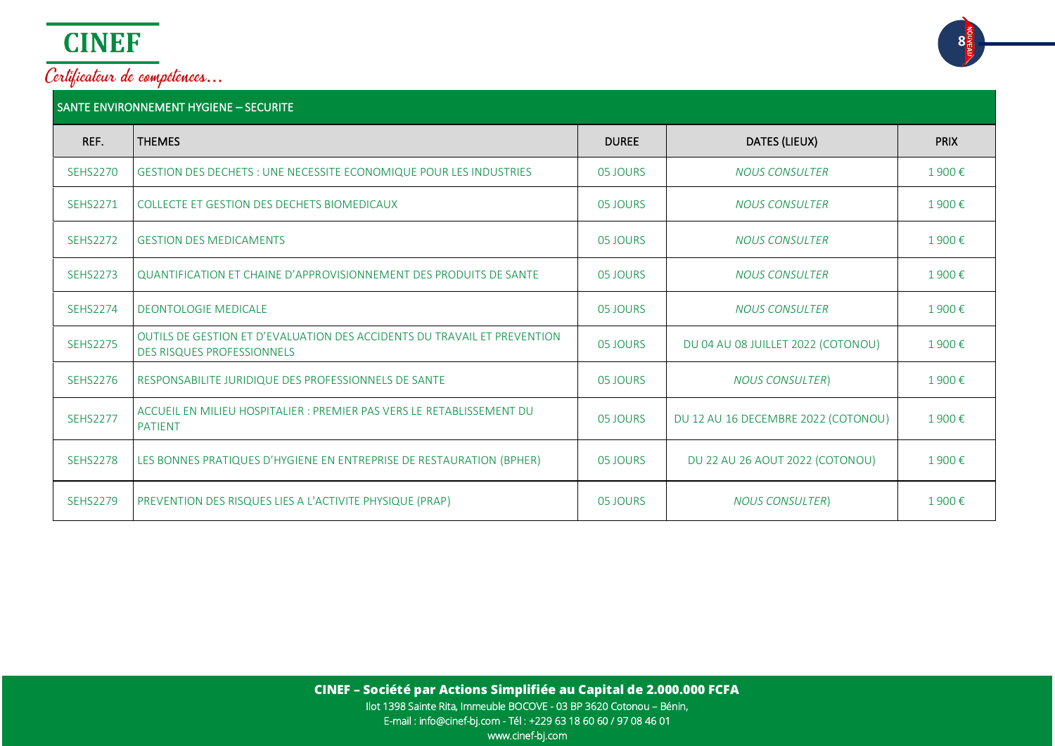

### SANTE ENVIRONNEMENT HYGIENE – SECURITE

| REF.            | <b>THEMES</b>                                                                                                 | <b>DUREE</b> | DATES (LIEUX)                       | <b>PRIX</b> |
|-----------------|---------------------------------------------------------------------------------------------------------------|--------------|-------------------------------------|-------------|
| <b>SEHS2270</b> | <b>GESTION DES DECHETS : UNE NECESSITE ECONOMIQUE POUR LES INDUSTRIES</b>                                     | 05 JOURS     | <b>NOUS CONSULTER</b>               | 1900€       |
| <b>SEHS2271</b> | COLLECTE ET GESTION DES DECHETS BIOMEDICAUX                                                                   | 05 JOURS     | <b>NOUS CONSULTER</b>               | 1900€       |
| <b>SEHS2272</b> | <b>GESTION DES MEDICAMENTS</b>                                                                                | 05 JOURS     | <b>NOUS CONSULTER</b>               | 1900€       |
| <b>SEHS2273</b> | QUANTIFICATION ET CHAINE D'APPROVISIONNEMENT DES PRODUITS DE SANTE                                            | 05 JOURS     | <b>NOUS CONSULTER</b>               | 1900€       |
| <b>SEHS2274</b> | <b>DEONTOLOGIE MEDICALE</b>                                                                                   | 05 JOURS     | <b>NOUS CONSULTER</b>               | 1900€       |
| <b>SEHS2275</b> | OUTILS DE GESTION ET D'EVALUATION DES ACCIDENTS DU TRAVAIL ET PREVENTION<br><b>DES RISQUES PROFESSIONNELS</b> | 05 JOURS     | DU 04 AU 08 JUILLET 2022 (COTONOU)  | 1900€       |
| <b>SEHS2276</b> | RESPONSABILITE JURIDIQUE DES PROFESSIONNELS DE SANTE                                                          | 05 JOURS     | <b>NOUS CONSULTER)</b>              | 1900€       |
| <b>SEHS2277</b> | ACCUEIL EN MILIEU HOSPITALIER : PREMIER PAS VERS LE RETABLISSEMENT DU<br><b>PATIENT</b>                       | 05 JOURS     | DU 12 AU 16 DECEMBRE 2022 (COTONOU) | 1900€       |
| <b>SEHS2278</b> | LES BONNES PRATIQUES D'HYGIENE EN ENTREPRISE DE RESTAURATION (BPHER)                                          | 05 JOURS     | DU 22 AU 26 AOUT 2022 (COTONOU)     | 1900€       |
| <b>SEHS2279</b> | PREVENTION DES RISQUES LIES A L'ACTIVITE PHYSIQUE (PRAP)                                                      | 05 JOURS     | <b>NOUS CONSULTER)</b>              | 1900€       |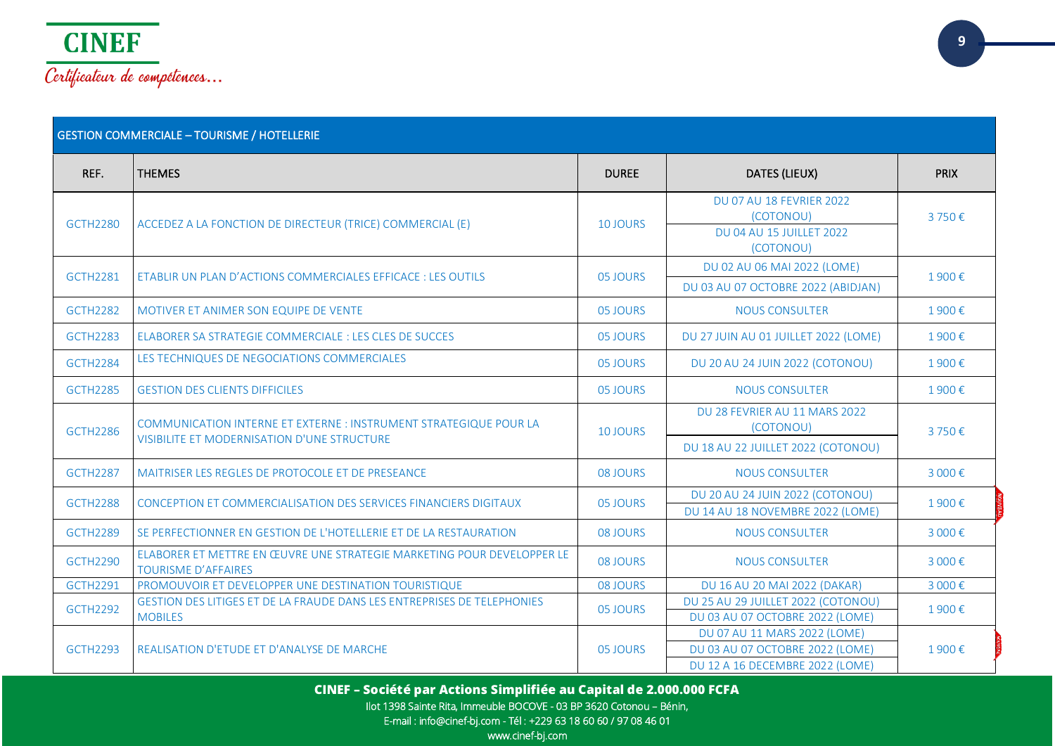

|                 | <b>GESTION COMMERCIALE - TOURISME / HOTELLERIE</b>                                                   |                 |                                                                                                    |             |  |
|-----------------|------------------------------------------------------------------------------------------------------|-----------------|----------------------------------------------------------------------------------------------------|-------------|--|
| REF.            | <b>THEMES</b>                                                                                        | <b>DUREE</b>    | DATES (LIEUX)                                                                                      | <b>PRIX</b> |  |
| <b>GCTH2280</b> | ACCEDEZ A LA FONCTION DE DIRECTEUR (TRICE) COMMERCIAL (E)                                            | <b>10 JOURS</b> | <b>DU 07 AU 18 FEVRIER 2022</b><br>(COTONOU)<br><b>DU 04 AU 15 JUILLET 2022</b><br>(COTONOU)       | 3750€       |  |
| <b>GCTH2281</b> | ETABLIR UN PLAN D'ACTIONS COMMERCIALES EFFICACE : LES OUTILS                                         | 05 JOURS        | DU 02 AU 06 MAI 2022 (LOME)<br>DU 03 AU 07 OCTOBRE 2022 (ABIDJAN)                                  | 1900€       |  |
| <b>GCTH2282</b> | MOTIVER ET ANIMER SON EQUIPE DE VENTE                                                                | 05 JOURS        | <b>NOUS CONSULTER</b>                                                                              | 1900€       |  |
| <b>GCTH2283</b> | ELABORER SA STRATEGIE COMMERCIALE : LES CLES DE SUCCES                                               | 05 JOURS        | DU 27 JUIN AU 01 JUILLET 2022 (LOME)                                                               | 1900€       |  |
| <b>GCTH2284</b> | LES TECHNIQUES DE NEGOCIATIONS COMMERCIALES                                                          | 05 JOURS        | DU 20 AU 24 JUIN 2022 (COTONOU)                                                                    | 1900€       |  |
| <b>GCTH2285</b> | <b>GESTION DES CLIENTS DIFFICILES</b>                                                                | 05 JOURS        | <b>NOUS CONSULTER</b>                                                                              | 1900€       |  |
| <b>GCTH2286</b> | COMMUNICATION INTERNE ET EXTERNE : INSTRUMENT STRATEGIQUE POUR LA                                    | 10 JOURS        | DU 28 FEVRIER AU 11 MARS 2022<br>(COTONOU)                                                         | 3750€       |  |
|                 | <b>VISIBILITE ET MODERNISATION D'UNE STRUCTURE</b>                                                   |                 | DU 18 AU 22 JUILLET 2022 (COTONOU)                                                                 |             |  |
| <b>GCTH2287</b> | MAITRISER LES REGLES DE PROTOCOLE ET DE PRESEANCE                                                    | 08 JOURS        | <b>NOUS CONSULTER</b>                                                                              | 3 000€      |  |
| <b>GCTH2288</b> | CONCEPTION ET COMMERCIALISATION DES SERVICES FINANCIERS DIGITAUX                                     | 05 JOURS        | DU 20 AU 24 JUIN 2022 (COTONOU)<br>DU 14 AU 18 NOVEMBRE 2022 (LOME)                                | 1900€       |  |
| <b>GCTH2289</b> | SE PERFECTIONNER EN GESTION DE L'HOTELLERIE ET DE LA RESTAURATION                                    | 08 JOURS        | <b>NOUS CONSULTER</b>                                                                              | 3 000€      |  |
| <b>GCTH2290</b> | ELABORER ET METTRE EN ŒUVRE UNE STRATEGIE MARKETING POUR DEVELOPPER LE<br><b>TOURISME D'AFFAIRES</b> | 08 JOURS        | <b>NOUS CONSULTER</b>                                                                              | 3 000€      |  |
| <b>GCTH2291</b> | PROMOUVOIR ET DEVELOPPER UNE DESTINATION TOURISTIQUE                                                 | 08 JOURS        | DU 16 AU 20 MAI 2022 (DAKAR)                                                                       | 3 000€      |  |
| <b>GCTH2292</b> | GESTION DES LITIGES ET DE LA FRAUDE DANS LES ENTREPRISES DE TELEPHONIES<br><b>MOBILES</b>            | 05 JOURS        | DU 25 AU 29 JUILLET 2022 (COTONOU)<br>DU 03 AU 07 OCTOBRE 2022 (LOME)                              | 1900€       |  |
| <b>GCTH2293</b> | REALISATION D'ETUDE ET D'ANALYSE DE MARCHE                                                           | 05 JOURS        | DU 07 AU 11 MARS 2022 (LOME)<br>DU 03 AU 07 OCTOBRE 2022 (LOME)<br>DU 12 A 16 DECEMBRE 2022 (LOME) | 1900€       |  |

**CINEF – Société par Actions Simplifiée au Capital de 2.000.000 FCFA**

Ilot 1398 Sainte Rita, Immeuble BOCOVE - 03 BP 3620 Cotonou – Bénin,

E-mail : info@cinef-bj.com - Tél : +229 63 18 60 60 / 97 08 46 01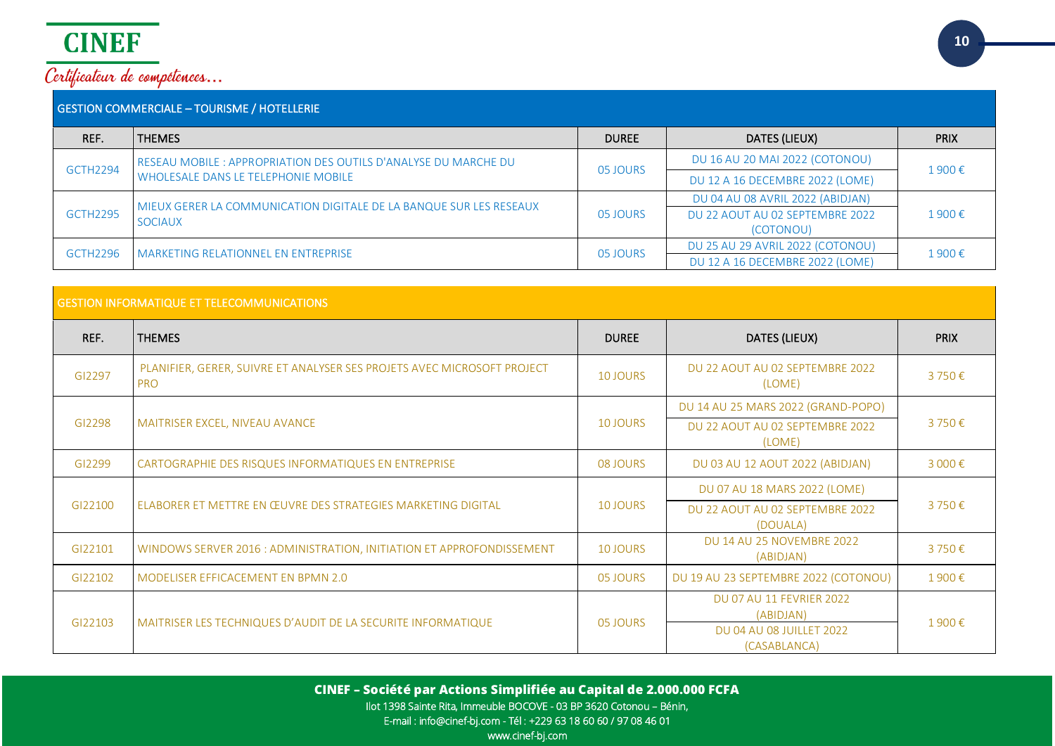

| <b>GESTION COMMERCIALE - TOURISME / HOTELLERIE</b> |                                                                    |              |                                  |             |
|----------------------------------------------------|--------------------------------------------------------------------|--------------|----------------------------------|-------------|
| REF.                                               | <b>THEMES</b>                                                      | <b>DUREE</b> | DATES (LIEUX)                    | <b>PRIX</b> |
| <b>GCTH2294</b>                                    | RESEAU MOBILE : APPROPRIATION DES OUTILS D'ANALYSE DU MARCHE DU    | 05 JOURS     | DU 16 AU 20 MAI 2022 (COTONOU)   | 1900€       |
|                                                    | <b>WHOLESALE DANS LE TELEPHONIE MOBILE</b>                         |              | DU 12 A 16 DECEMBRE 2022 (LOME)  |             |
|                                                    | MIEUX GERER LA COMMUNICATION DIGITALE DE LA BANQUE SUR LES RESEAUX |              | DU 04 AU 08 AVRIL 2022 (ABIDJAN) |             |
| <b>GCTH2295</b>                                    | <b>SOCIAUX</b>                                                     | 05 JOURS     | DU 22 AOUT AU 02 SEPTEMBRE 2022  | 1900€       |
|                                                    |                                                                    |              | (COTONOU)                        |             |
| GCTH2296                                           | MARKETING RELATIONNEL EN ENTREPRISE                                | 05 JOURS     | DU 25 AU 29 AVRIL 2022 (COTONOU) | 1900€       |
|                                                    |                                                                    |              | DU 12 A 16 DECEMBRE 2022 (LOME)  |             |
|                                                    |                                                                    |              |                                  |             |

| <b>GESTION INFORMATIQUE ET TELECOMMUNICATIONS</b> |                                                                                       |                 |                                                                                                 |             |  |
|---------------------------------------------------|---------------------------------------------------------------------------------------|-----------------|-------------------------------------------------------------------------------------------------|-------------|--|
| REF.                                              | <b>THEMES</b>                                                                         | <b>DUREE</b>    | DATES (LIEUX)                                                                                   | <b>PRIX</b> |  |
| GI2297                                            | PLANIFIER, GERER, SUIVRE ET ANALYSER SES PROJETS AVEC MICROSOFT PROJECT<br><b>PRO</b> | <b>10 JOURS</b> | DU 22 AOUT AU 02 SEPTEMBRE 2022<br>(LOME)                                                       | 3750€       |  |
|                                                   |                                                                                       |                 | DU 14 AU 25 MARS 2022 (GRAND-POPO)                                                              | 3750€       |  |
| GI2298                                            | MAITRISER EXCEL, NIVEAU AVANCE                                                        | <b>10 JOURS</b> | DU 22 AOUT AU 02 SEPTEMBRE 2022<br>(LOME)                                                       |             |  |
| GI2299                                            | CARTOGRAPHIE DES RISQUES INFORMATIQUES EN ENTREPRISE                                  | 08 JOURS        | DU 03 AU 12 AOUT 2022 (ABIDJAN)                                                                 | 3 000€      |  |
|                                                   |                                                                                       |                 | DU 07 AU 18 MARS 2022 (LOME)                                                                    | 3750€       |  |
| GI22100                                           | ELABORER ET METTRE EN ŒUVRE DES STRATEGIES MARKETING DIGITAL                          | <b>10 JOURS</b> | DU 22 AOUT AU 02 SEPTEMBRE 2022<br>(DOUALA)                                                     |             |  |
| GI22101                                           | WINDOWS SERVER 2016 : ADMINISTRATION, INITIATION ET APPROFONDISSEMENT                 | <b>10 JOURS</b> | <b>DU 14 AU 25 NOVEMBRE 2022</b><br>(ABIDJAN)                                                   | 3750€       |  |
| GI22102                                           | MODELISER EFFICACEMENT EN BPMN 2.0                                                    | 05 JOURS        | DU 19 AU 23 SEPTEMBRE 2022 (COTONOU)                                                            | 1900€       |  |
| GI22103                                           | MAITRISER LES TECHNIQUES D'AUDIT DE LA SECURITE INFORMATIQUE                          | 05 JOURS        | <b>DU 07 AU 11 FEVRIER 2022</b><br>(ABIDJAN)<br><b>DU 04 AU 08 JUILLET 2022</b><br>(CASABLANCA) | 1900€       |  |

**CINEF – Société par Actions Simplifiée au Capital de 2.000.000 FCFA** Ilot 1398 Sainte Rita, Immeuble BOCOVE - 03 BP 3620 Cotonou – Bénin, E-mail : info@cinef-bj.com - Tél : +229 63 18 60 60 / 97 08 46 01 www.cinef-bj.com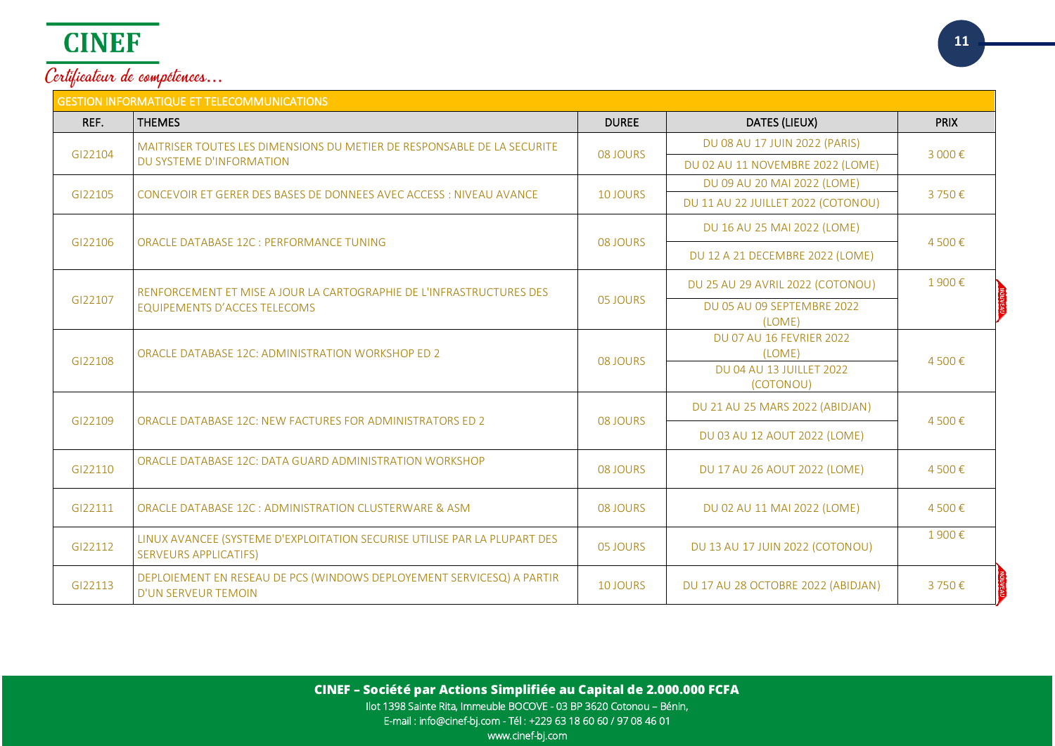# **CINEF**

Certificateur de compétences...

| <b>GESTION INFORMATIQUE ET TELECOMMUNICATIONS</b> |                                                                                                             |                 |                                           |             |  |
|---------------------------------------------------|-------------------------------------------------------------------------------------------------------------|-----------------|-------------------------------------------|-------------|--|
| REF.                                              | <b>THEMES</b>                                                                                               | <b>DUREE</b>    | DATES (LIEUX)                             | <b>PRIX</b> |  |
| GI22104                                           | MAITRISER TOUTES LES DIMENSIONS DU METIER DE RESPONSABLE DE LA SECURITE<br>DU SYSTEME D'INFORMATION         |                 | DU 08 AU 17 JUIN 2022 (PARIS)             | 3 000€      |  |
|                                                   |                                                                                                             | 08 JOURS        | DU 02 AU 11 NOVEMBRE 2022 (LOME)          |             |  |
| GI22105                                           | CONCEVOIR ET GERER DES BASES DE DONNEES AVEC ACCESS : NIVEAU AVANCE                                         | <b>10 JOURS</b> | DU 09 AU 20 MAI 2022 (LOME)               | 3750€       |  |
|                                                   |                                                                                                             |                 | DU 11 AU 22 JUILLET 2022 (COTONOU)        |             |  |
| GI22106                                           | ORACLE DATABASE 12C : PERFORMANCE TUNING                                                                    | 08 JOURS        | DU 16 AU 25 MAI 2022 (LOME)               | 4500€       |  |
|                                                   |                                                                                                             |                 | DU 12 A 21 DECEMBRE 2022 (LOME)           |             |  |
|                                                   | RENFORCEMENT ET MISE A JOUR LA CARTOGRAPHIE DE L'INFRASTRUCTURES DES<br><b>EQUIPEMENTS D'ACCES TELECOMS</b> |                 | DU 25 AU 29 AVRIL 2022 (COTONOU)          | 1900€       |  |
| GI22107                                           |                                                                                                             | 05 JOURS        | DU 05 AU 09 SEPTEMBRE 2022                |             |  |
|                                                   |                                                                                                             |                 | (LOME)<br><b>DU 07 AU 16 FEVRIER 2022</b> |             |  |
|                                                   | ORACLE DATABASE 12C: ADMINISTRATION WORKSHOP ED 2                                                           | 08 JOURS        | (LOME)                                    |             |  |
| GI22108                                           |                                                                                                             |                 | DU 04 AU 13 JUILLET 2022                  | 4500€       |  |
|                                                   |                                                                                                             |                 | (COTONOU)                                 |             |  |
| GI22109                                           | ORACLE DATABASE 12C: NEW FACTURES FOR ADMINISTRATORS ED 2                                                   | 08 JOURS        | DU 21 AU 25 MARS 2022 (ABIDJAN)           | 4500€       |  |
|                                                   |                                                                                                             |                 | DU 03 AU 12 AOUT 2022 (LOME)              |             |  |
| GI22110                                           | ORACLE DATABASE 12C: DATA GUARD ADMINISTRATION WORKSHOP                                                     | 08 JOURS        | DU 17 AU 26 AOUT 2022 (LOME)              | 4500€       |  |
| GI22111                                           | ORACLE DATABASE 12C : ADMINISTRATION CLUSTERWARE & ASM                                                      | 08 JOURS        |                                           | 4500€       |  |
|                                                   |                                                                                                             |                 | DU 02 AU 11 MAI 2022 (LOME)               |             |  |
| GI22112                                           | LINUX AVANCEE (SYSTEME D'EXPLOITATION SECURISE UTILISE PAR LA PLUPART DES<br><b>SERVEURS APPLICATIFS)</b>   | 05 JOURS        | DU 13 AU 17 JUIN 2022 (COTONOU)           | 1900€       |  |
| GI22113                                           | DEPLOIEMENT EN RESEAU DE PCS (WINDOWS DEPLOYEMENT SERVICESQ) A PARTIR<br><b>D'UN SERVEUR TEMOIN</b>         | 10 JOURS        | DU 17 AU 28 OCTOBRE 2022 (ABIDJAN)        | 3750€       |  |

**CINEF – Société par Actions Simplifiée au Capital de 2.000.000 FCFA** Ilot 1398 Sainte Rita, Immeuble BOCOVE - 03 BP 3620 Cotonou – Bénin, E-mail : info@cinef-bj.com - Tél : +229 63 18 60 60 / 97 08 46 01 www.cinef-bj.com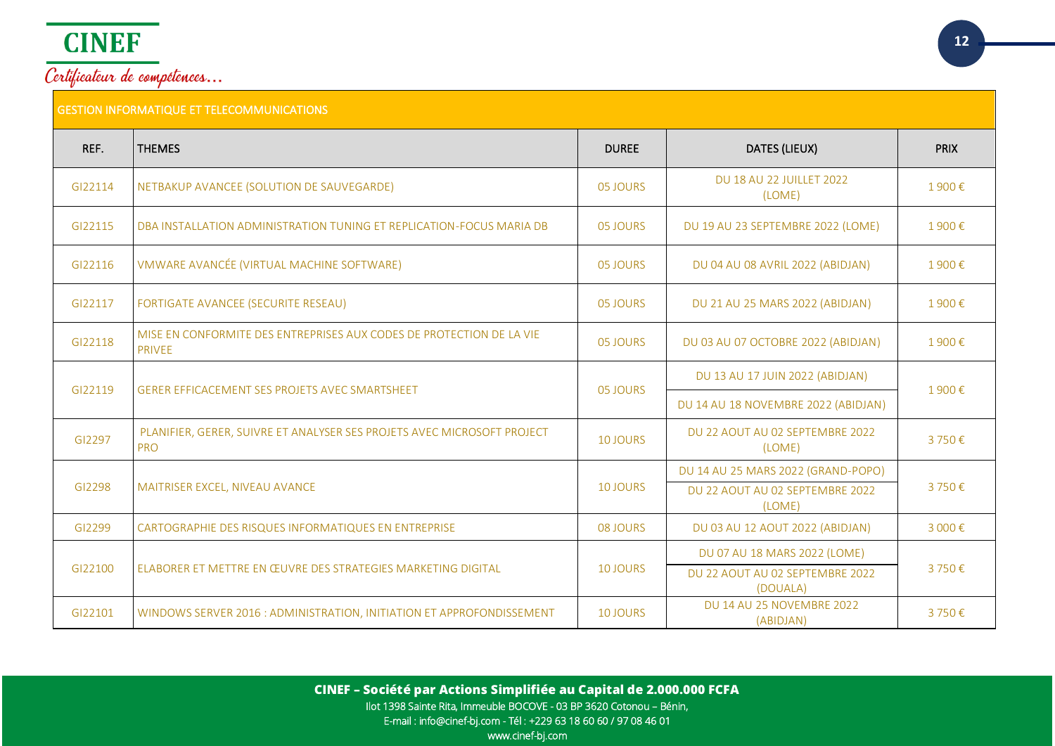

| REF.    | <b>THEMES</b>                                                                         | <b>DUREE</b>    | DATES (LIEUX)                               | <b>PRIX</b> |
|---------|---------------------------------------------------------------------------------------|-----------------|---------------------------------------------|-------------|
| GI22114 | NETBAKUP AVANCEE (SOLUTION DE SAUVEGARDE)                                             | 05 JOURS        | DU 18 AU 22 JUILLET 2022<br>(LOME)          | 1900€       |
| GI22115 | DBA INSTALLATION ADMINISTRATION TUNING ET REPLICATION-FOCUS MARIA DB                  | 05 JOURS        | DU 19 AU 23 SEPTEMBRE 2022 (LOME)           | 1900€       |
| GI22116 | VMWARE AVANCÉE (VIRTUAL MACHINE SOFTWARE)                                             | 05 JOURS        | DU 04 AU 08 AVRIL 2022 (ABIDJAN)            | 1900€       |
| GI22117 | FORTIGATE AVANCEE (SECURITE RESEAU)                                                   | 05 JOURS        | DU 21 AU 25 MARS 2022 (ABIDJAN)             | 1900€       |
| GI22118 | MISE EN CONFORMITE DES ENTREPRISES AUX CODES DE PROTECTION DE LA VIE<br><b>PRIVEE</b> | 05 JOURS        | DU 03 AU 07 OCTOBRE 2022 (ABIDJAN)          | 1900€       |
|         | <b>GERER EFFICACEMENT SES PROJETS AVEC SMARTSHEET</b>                                 |                 | DU 13 AU 17 JUIN 2022 (ABIDJAN)             | 1900€       |
| GI22119 |                                                                                       | 05 JOURS        | DU 14 AU 18 NOVEMBRE 2022 (ABIDJAN)         |             |
| GI2297  | PLANIFIER, GERER, SUIVRE ET ANALYSER SES PROJETS AVEC MICROSOFT PROJECT<br><b>PRO</b> | <b>10 JOURS</b> | DU 22 AOUT AU 02 SEPTEMBRE 2022<br>(LOME)   | 3750€       |
|         |                                                                                       |                 | DU 14 AU 25 MARS 2022 (GRAND-POPO)          |             |
| GI2298  | MAITRISER EXCEL, NIVEAU AVANCE                                                        | 10 JOURS        | DU 22 AOUT AU 02 SEPTEMBRE 2022<br>(LOME)   | 3750€       |
| GI2299  | CARTOGRAPHIE DES RISQUES INFORMATIQUES EN ENTREPRISE                                  | 08 JOURS        | DU 03 AU 12 AOUT 2022 (ABIDJAN)             | 3 000€      |
|         |                                                                                       |                 | DU 07 AU 18 MARS 2022 (LOME)                | 3750€       |
| GI22100 | ELABORER ET METTRE EN ŒUVRE DES STRATEGIES MARKETING DIGITAL                          | 10 JOURS        | DU 22 AOUT AU 02 SEPTEMBRE 2022<br>(DOUALA) |             |
| GI22101 | WINDOWS SERVER 2016 : ADMINISTRATION, INITIATION ET APPROFONDISSEMENT                 | <b>10 JOURS</b> | DU 14 AU 25 NOVEMBRE 2022<br>(ABIDJAN)      | 3750€       |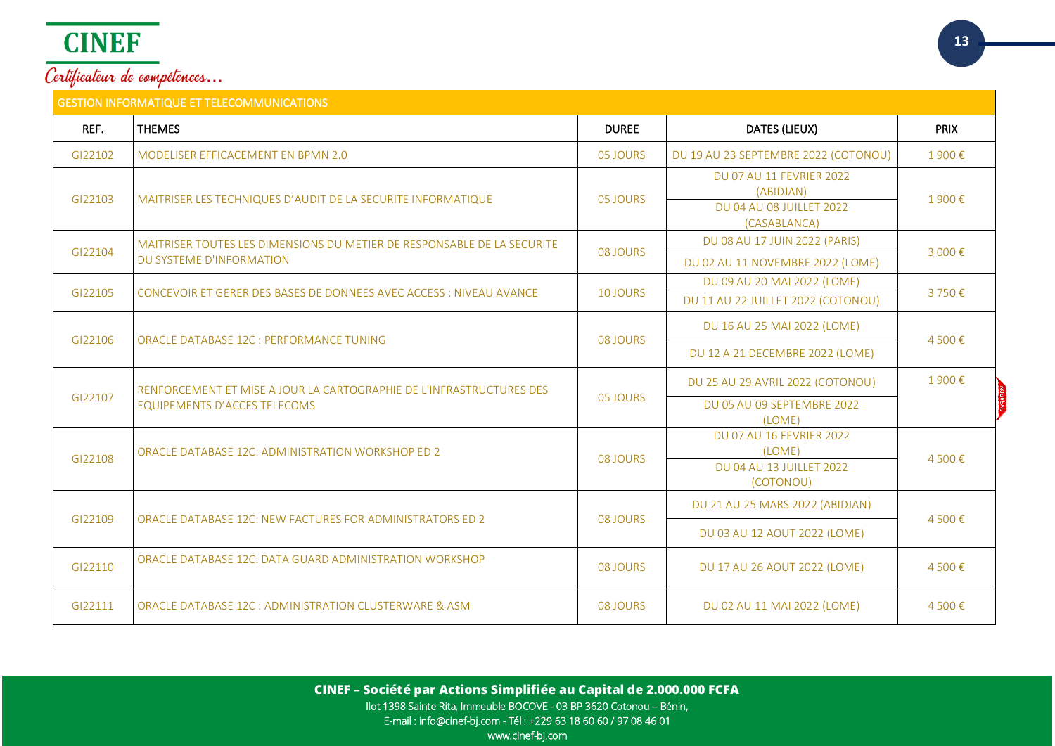|         | <b>GESTION INFORMATIQUE ET TELECOMMUNICATIONS</b>                                                   |              |                                                                                          |             |
|---------|-----------------------------------------------------------------------------------------------------|--------------|------------------------------------------------------------------------------------------|-------------|
| REF.    | <b>THEMES</b>                                                                                       | <b>DUREE</b> | <b>DATES (LIEUX)</b>                                                                     | <b>PRIX</b> |
| GI22102 | MODELISER EFFICACEMENT EN BPMN 2.0                                                                  | 05 JOURS     | DU 19 AU 23 SEPTEMBRE 2022 (COTONOU)                                                     | 1900€       |
| GI22103 | MAITRISER LES TECHNIQUES D'AUDIT DE LA SECURITE INFORMATIQUE                                        | 05 JOURS     | <b>DU 07 AU 11 FEVRIER 2022</b><br>(ABIDJAN)<br>DU 04 AU 08 JUILLET 2022<br>(CASABLANCA) | 1900€       |
| GI22104 | MAITRISER TOUTES LES DIMENSIONS DU METIER DE RESPONSABLE DE LA SECURITE<br>DU SYSTEME D'INFORMATION | 08 JOURS     | DU 08 AU 17 JUIN 2022 (PARIS)<br>DU 02 AU 11 NOVEMBRE 2022 (LOME)                        | 3 000€      |
| GI22105 | CONCEVOIR ET GERER DES BASES DE DONNEES AVEC ACCESS : NIVEAU AVANCE                                 | 10 JOURS     | DU 09 AU 20 MAI 2022 (LOME)                                                              | 3750€       |
|         |                                                                                                     |              | DU 11 AU 22 JUILLET 2022 (COTONOU)                                                       |             |
|         | ORACLE DATABASE 12C : PERFORMANCE TUNING                                                            | 08 JOURS     | DU 16 AU 25 MAI 2022 (LOME)                                                              | 4 500€      |
| GI22106 |                                                                                                     |              | DU 12 A 21 DECEMBRE 2022 (LOME)                                                          |             |
|         | RENFORCEMENT ET MISE A JOUR LA CARTOGRAPHIE DE L'INFRASTRUCTURES DES                                |              | DU 25 AU 29 AVRIL 2022 (COTONOU)                                                         | 1900€       |
| GI22107 | <b>EQUIPEMENTS D'ACCES TELECOMS</b>                                                                 | 05 JOURS     | DU 05 AU 09 SEPTEMBRE 2022<br>(LOME)                                                     |             |
|         | ORACLE DATABASE 12C: ADMINISTRATION WORKSHOP ED 2                                                   |              | <b>DU 07 AU 16 FEVRIER 2022</b><br>(LOME)                                                |             |
| GI22108 |                                                                                                     | 08 JOURS     | DU 04 AU 13 JUILLET 2022<br>(COTONOU)                                                    | 4500€       |
|         |                                                                                                     |              | DU 21 AU 25 MARS 2022 (ABIDJAN)                                                          |             |
| GI22109 | ORACLE DATABASE 12C: NEW FACTURES FOR ADMINISTRATORS ED 2                                           | 08 JOURS     | DU 03 AU 12 AOUT 2022 (LOME)                                                             | 4 500€      |
| GI22110 | ORACLE DATABASE 12C: DATA GUARD ADMINISTRATION WORKSHOP                                             | 08 JOURS     | DU 17 AU 26 AOUT 2022 (LOME)                                                             | 4 500€      |
| GI22111 | ORACLE DATABASE 12C : ADMINISTRATION CLUSTERWARE & ASM                                              | 08 JOURS     | DU 02 AU 11 MAI 2022 (LOME)                                                              | 4500€       |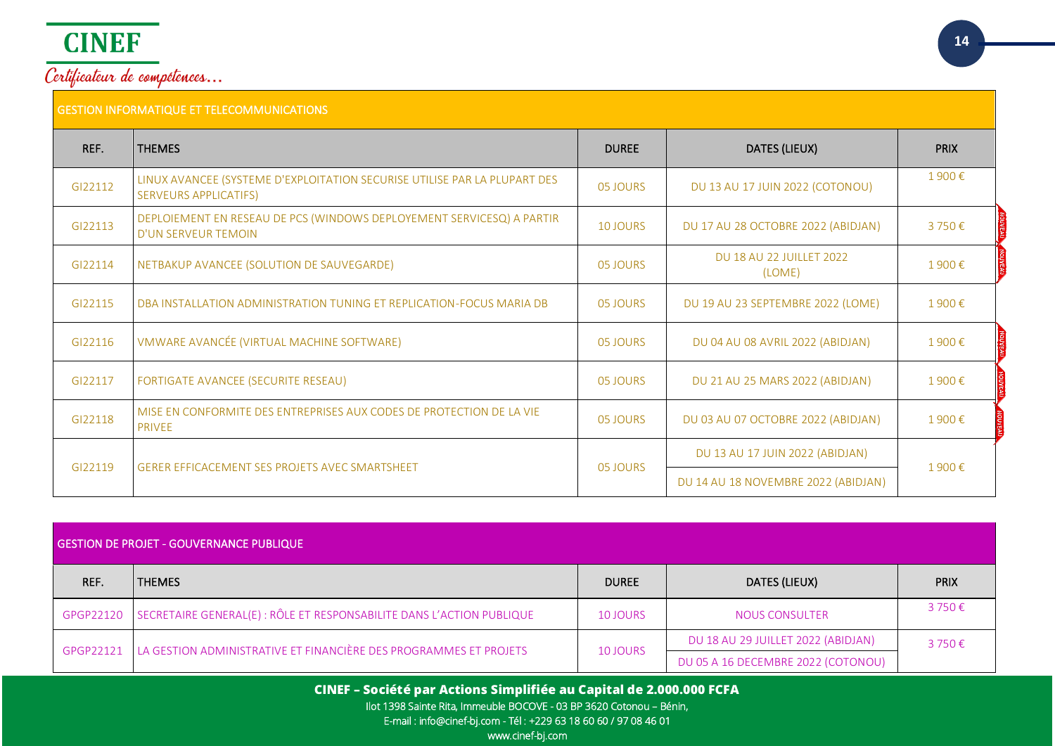

|         | Certificateur de compétences<br><b>GESTION INFORMATIQUE ET TELECOMMUNICATIONS</b> |                                     |                                       |             |
|---------|-----------------------------------------------------------------------------------|-------------------------------------|---------------------------------------|-------------|
| REF.    | <b>THEMES</b>                                                                     | <b>DUREE</b>                        | DATES (LIEUX)                         | <b>PRIX</b> |
| C122112 | LINUX AVANCEE (SYSTEME D'EXPLOITATION SECURISE UTILISE PAR LA PLUPART DES         | $\Omega$ $\Omega$ $\Omega$ $\Omega$ | <b>DU 12 ALL 17 JUNIOR OCCUPATION</b> | 1900        |

| GI22112 | LINUX AVANCEE (SYSTEME D'EXPLOITATION SECURISE UTILISE PAR LA PLUPART DES<br><b>SERVEURS APPLICATIFS)</b> | 05 JOURS | DU 13 AU 17 JUIN 2022 (COTONOU)                                        | 1900€ |
|---------|-----------------------------------------------------------------------------------------------------------|----------|------------------------------------------------------------------------|-------|
| GI22113 | DEPLOIEMENT EN RESEAU DE PCS (WINDOWS DEPLOYEMENT SERVICESQ) A PARTIR<br><b>D'UN SERVEUR TEMOIN</b>       | 10 JOURS | DU 17 AU 28 OCTOBRE 2022 (ABIDJAN)                                     | 3750€ |
| GI22114 | NETBAKUP AVANCEE (SOLUTION DE SAUVEGARDE)                                                                 | 05 JOURS | <b>DU 18 AU 22 JUILLET 2022</b><br>(LOME)                              | 1900€ |
| GI22115 | DBA INSTALLATION ADMINISTRATION TUNING ET REPLICATION-FOCUS MARIA DB                                      | 05 JOURS | DU 19 AU 23 SEPTEMBRE 2022 (LOME)                                      | 1900€ |
| GI22116 | VMWARE AVANCÉE (VIRTUAL MACHINE SOFTWARE)                                                                 | 05 JOURS | DU 04 AU 08 AVRIL 2022 (ABIDJAN)                                       | 1900€ |
| GI22117 | FORTIGATE AVANCEE (SECURITE RESEAU)                                                                       | 05 JOURS | DU 21 AU 25 MARS 2022 (ABIDJAN)                                        | 1900€ |
| GI22118 | MISE EN CONFORMITE DES ENTREPRISES AUX CODES DE PROTECTION DE LA VIE<br><b>PRIVEE</b>                     | 05 JOURS | DU 03 AU 07 OCTOBRE 2022 (ABIDJAN)                                     | 1900€ |
| GI22119 | <b>GERER EFFICACEMENT SES PROJETS AVEC SMARTSHEET</b>                                                     | 05 JOURS | DU 13 AU 17 JUIN 2022 (ABIDJAN)<br>DU 14 AU 18 NOVEMBRE 2022 (ABIDJAN) |       |
|         |                                                                                                           |          |                                                                        | 1900€ |

| <b>GESTION DE PROJET - GOUVERNANCE PUBLIQUE</b> |                                                                       |                 |                                    |                 |
|-------------------------------------------------|-----------------------------------------------------------------------|-----------------|------------------------------------|-----------------|
| REF.                                            | <b>THEMES</b>                                                         | <b>DUREE</b>    | DATES (LIEUX)                      | <b>PRIX</b>     |
| GPGP22120                                       | SECRETAIRE GENERAL(E) : RÔLE ET RESPONSABILITE DANS L'ACTION PUBLIQUE | <b>10 JOURS</b> | <b>NOUS CONSULTER</b>              | 3 750€          |
| GPGP22121                                       | LA GESTION ADMINISTRATIVE ET FINANCIÈRE DES PROGRAMMES ET PROJETS     | <b>10 JOURS</b> | DU 18 AU 29 JUILLET 2022 (ABIDJAN) | $3750 \epsilon$ |
|                                                 |                                                                       |                 | DU 05 A 16 DECEMBRE 2022 (COTONOU) |                 |

**CINEF – Société par Actions Simplifiée au Capital de 2.000.000 FCFA**

Ilot 1398 Sainte Rita, Immeuble BOCOVE - 03 BP 3620 Cotonou – Bénin,

E-mail : info@cinef-bj.com - Tél : +229 63 18 60 60 / 97 08 46 01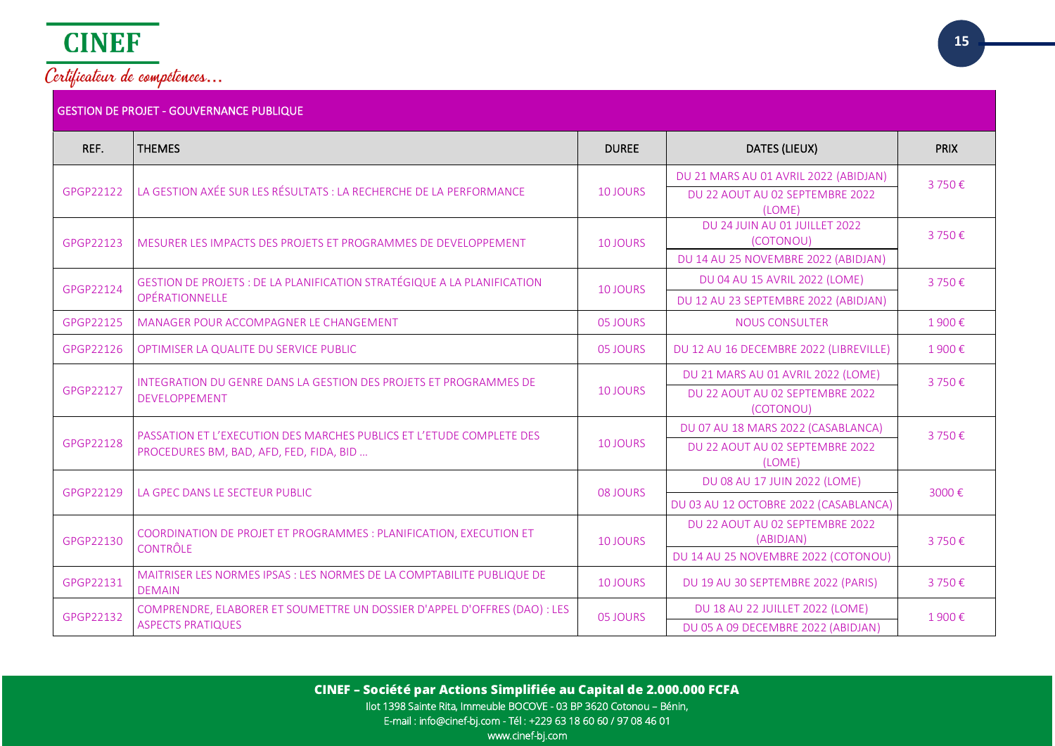

| REF.      | <b>THEMES</b>                                                                           | <b>DUREE</b>    | DATES (LIEUX)                                | <b>PRIX</b> |
|-----------|-----------------------------------------------------------------------------------------|-----------------|----------------------------------------------|-------------|
|           |                                                                                         |                 | DU 21 MARS AU 01 AVRIL 2022 (ABIDJAN)        | 3750€       |
| GPGP22122 | LA GESTION AXÉE SUR LES RÉSULTATS : LA RECHERCHE DE LA PERFORMANCE                      | 10 JOURS        | DU 22 AOUT AU 02 SEPTEMBRE 2022<br>(LOME)    |             |
|           |                                                                                         |                 | DU 24 JUIN AU 01 JUILLET 2022                |             |
| GPGP22123 | MESURER LES IMPACTS DES PROJETS ET PROGRAMMES DE DEVELOPPEMENT                          | 10 JOURS        | (COTONOU)                                    | 3750€       |
|           |                                                                                         |                 | DU 14 AU 25 NOVEMBRE 2022 (ABIDJAN)          |             |
| GPGP22124 | <b>GESTION DE PROJETS : DE LA PLANIFICATION STRATÉGIQUE A LA PLANIFICATION</b>          | 10 JOURS        | DU 04 AU 15 AVRIL 2022 (LOME)                | 3750€       |
|           | OPÉRATIONNELLE                                                                          |                 | DU 12 AU 23 SEPTEMBRE 2022 (ABIDJAN)         |             |
| GPGP22125 | MANAGER POUR ACCOMPAGNER LE CHANGEMENT                                                  | 05 JOURS        | <b>NOUS CONSULTER</b>                        | 1900€       |
| GPGP22126 | OPTIMISER LA QUALITE DU SERVICE PUBLIC                                                  | 05 JOURS        | DU 12 AU 16 DECEMBRE 2022 (LIBREVILLE)       | 1900€       |
|           | INTEGRATION DU GENRE DANS LA GESTION DES PROJETS ET PROGRAMMES DE<br>DEVELOPPEMENT      | <b>10 JOURS</b> | DU 21 MARS AU 01 AVRIL 2022 (LOME)           | 3750€       |
| GPGP22127 |                                                                                         |                 | DU 22 AOUT AU 02 SEPTEMBRE 2022<br>(COTONOU) |             |
|           | PASSATION ET L'EXECUTION DES MARCHES PUBLICS ET L'ETUDE COMPLETE DES                    |                 | DU 07 AU 18 MARS 2022 (CASABLANCA)           | 3750€       |
| GPGP22128 | PROCEDURES BM, BAD, AFD, FED, FIDA, BID                                                 | 10 JOURS        | DU 22 AOUT AU 02 SEPTEMBRE 2022<br>(LOME)    |             |
|           | LA GPEC DANS LE SECTEUR PUBLIC                                                          |                 | DU 08 AU 17 JUIN 2022 (LOME)                 | 3000€       |
| GPGP22129 |                                                                                         | 08 JOURS        | DU 03 AU 12 OCTOBRE 2022 (CASABLANCA)        |             |
|           | COORDINATION DE PROJET ET PROGRAMMES : PLANIFICATION, EXECUTION ET                      |                 | DU 22 AOUT AU 02 SEPTEMBRE 2022              | 3750€       |
| GPGP22130 | <b>CONTRÔLE</b>                                                                         | 10 JOURS        | (ABIDJAN)                                    |             |
|           |                                                                                         |                 | DU 14 AU 25 NOVEMBRE 2022 (COTONOU)          |             |
| GPGP22131 | MAITRISER LES NORMES IPSAS : LES NORMES DE LA COMPTABILITE PUBLIQUE DE<br><b>DEMAIN</b> | 10 JOURS        | DU 19 AU 30 SEPTEMBRE 2022 (PARIS)           | 3750€       |
| GPGP22132 | COMPRENDRE, ELABORER ET SOUMETTRE UN DOSSIER D'APPEL D'OFFRES (DAO) : LES               | 05 JOURS        | DU 18 AU 22 JUILLET 2022 (LOME)              | 1900€       |
|           | <b>ASPECTS PRATIQUES</b>                                                                |                 | DU 05 A 09 DECEMBRE 2022 (ABIDJAN)           |             |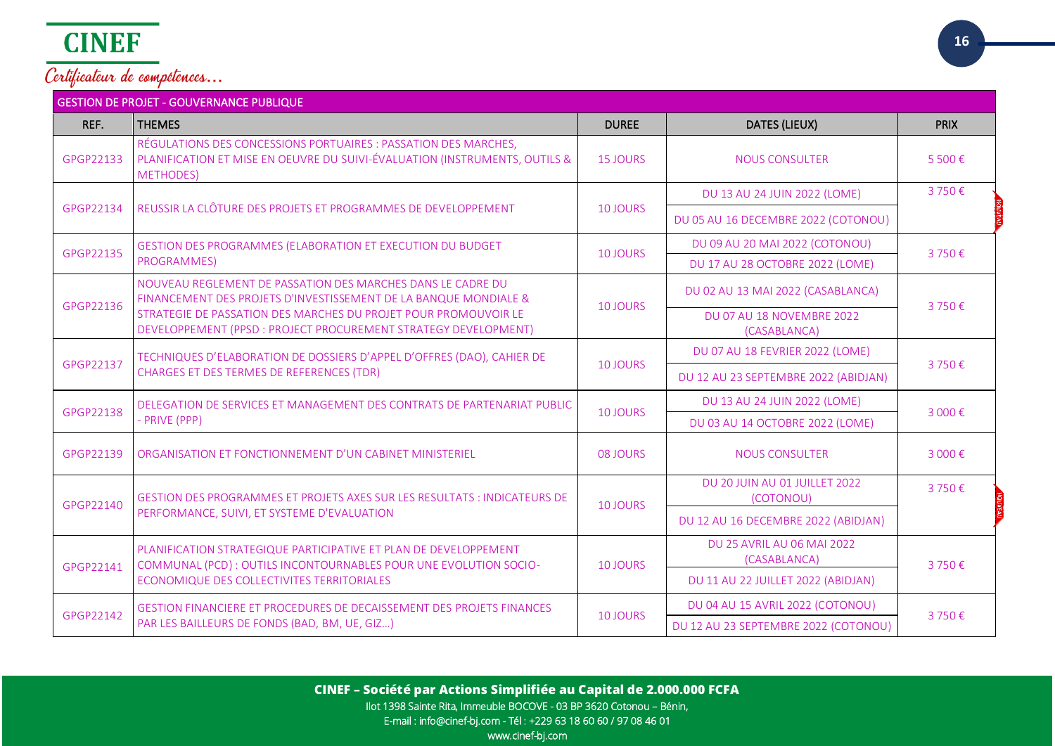| <b>GESTION DE PROJET - GOUVERNANCE PUBLIQUE</b> |                                                                                                                                                                   |                 |                                            |             |  |
|-------------------------------------------------|-------------------------------------------------------------------------------------------------------------------------------------------------------------------|-----------------|--------------------------------------------|-------------|--|
| REF.                                            | <b>THEMES</b>                                                                                                                                                     | <b>DUREE</b>    | <b>DATES (LIEUX)</b>                       | <b>PRIX</b> |  |
| GPGP22133                                       | RÉGULATIONS DES CONCESSIONS PORTUAIRES : PASSATION DES MARCHES,<br>PLANIFICATION ET MISE EN OEUVRE DU SUIVI-ÉVALUATION (INSTRUMENTS, OUTILS &<br><b>METHODES)</b> | <b>15 JOURS</b> | <b>NOUS CONSULTER</b>                      | 5 500€      |  |
|                                                 |                                                                                                                                                                   |                 | DU 13 AU 24 JUIN 2022 (LOME)               | 3750€       |  |
| GPGP22134                                       | REUSSIR LA CLÔTURE DES PROJETS ET PROGRAMMES DE DEVELOPPEMENT                                                                                                     | 10 JOURS        | DU 05 AU 16 DECEMBRE 2022 (COTONOU)        |             |  |
| GPGP22135                                       | GESTION DES PROGRAMMES (ELABORATION ET EXECUTION DU BUDGET                                                                                                        | 10 JOURS        | DU 09 AU 20 MAI 2022 (COTONOU)             | 3750€       |  |
|                                                 | PROGRAMMES)                                                                                                                                                       |                 | DU 17 AU 28 OCTOBRE 2022 (LOME)            |             |  |
| GPGP22136                                       | NOUVEAU REGLEMENT DE PASSATION DES MARCHES DANS LE CADRE DU<br>FINANCEMENT DES PROJETS D'INVESTISSEMENT DE LA BANQUE MONDIALE &                                   | 10 JOURS        | DU 02 AU 13 MAI 2022 (CASABLANCA)          | 3750€       |  |
|                                                 | STRATEGIE DE PASSATION DES MARCHES DU PROJET POUR PROMOUVOIR LE<br>DEVELOPPEMENT (PPSD : PROJECT PROCUREMENT STRATEGY DEVELOPMENT)                                |                 | DU 07 AU 18 NOVEMBRE 2022<br>(CASABLANCA)  |             |  |
|                                                 | TECHNIQUES D'ELABORATION DE DOSSIERS D'APPEL D'OFFRES (DAO), CAHIER DE<br>CHARGES ET DES TERMES DE REFERENCES (TDR)                                               | 10 JOURS        | DU 07 AU 18 FEVRIER 2022 (LOME)            | 3750€       |  |
| GPGP22137                                       |                                                                                                                                                                   |                 | DU 12 AU 23 SEPTEMBRE 2022 (ABIDJAN)       |             |  |
| GPGP22138                                       | DELEGATION DE SERVICES ET MANAGEMENT DES CONTRATS DE PARTENARIAT PUBLIC<br>- PRIVE (PPP)                                                                          | 10 JOURS        | DU 13 AU 24 JUIN 2022 (LOME)               | 3 000€      |  |
|                                                 |                                                                                                                                                                   |                 | DU 03 AU 14 OCTOBRE 2022 (LOME)            |             |  |
| GPGP22139                                       | ORGANISATION ET FONCTIONNEMENT D'UN CABINET MINISTERIEL                                                                                                           | 08 JOURS        | <b>NOUS CONSULTER</b>                      | 3 000€      |  |
| GPGP22140                                       | GESTION DES PROGRAMMES ET PROJETS AXES SUR LES RESULTATS : INDICATEURS DE                                                                                         |                 | DU 20 JUIN AU 01 JUILLET 2022<br>(COTONOU) | 3750€       |  |
|                                                 | PERFORMANCE, SUIVI, ET SYSTEME D'EVALUATION                                                                                                                       | 10 JOURS        | DU 12 AU 16 DECEMBRE 2022 (ABIDJAN)        |             |  |
|                                                 | PLANIFICATION STRATEGIQUE PARTICIPATIVE ET PLAN DE DEVELOPPEMENT                                                                                                  |                 | DU 25 AVRIL AU 06 MAI 2022<br>(CASABLANCA) |             |  |
| GPGP22141                                       | COMMUNAL (PCD) : OUTILS INCONTOURNABLES POUR UNE EVOLUTION SOCIO-<br>ECONOMIQUE DES COLLECTIVITES TERRITORIALES                                                   | 10 JOURS        | DU 11 AU 22 JUILLET 2022 (ABIDJAN)         | 3750€       |  |
|                                                 | GESTION FINANCIERE ET PROCEDURES DE DECAISSEMENT DES PROJETS FINANCES                                                                                             |                 | DU 04 AU 15 AVRIL 2022 (COTONOU)           |             |  |
| GPGP22142                                       | PAR LES BAILLEURS DE FONDS (BAD, BM, UE, GIZ)                                                                                                                     | <b>10 JOURS</b> | DU 12 AU 23 SEPTEMBRE 2022 (COTONOU)       | 3750€       |  |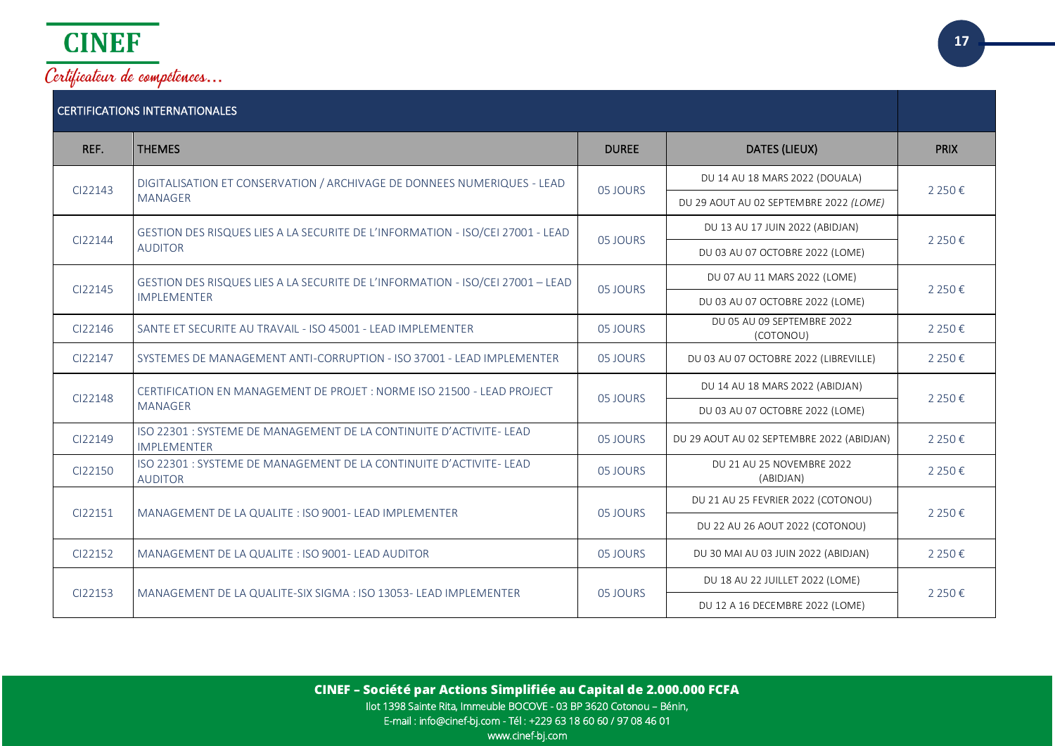

| <b>CERTIFICATIONS INTERNATIONALES</b> |                                                                                                      |              |                                           |                                        |
|---------------------------------------|------------------------------------------------------------------------------------------------------|--------------|-------------------------------------------|----------------------------------------|
| REF.                                  | <b>THEMES</b>                                                                                        | <b>DUREE</b> | DATES (LIEUX)                             | <b>PRIX</b>                            |
| CI22143                               | DIGITALISATION ET CONSERVATION / ARCHIVAGE DE DONNEES NUMERIQUES - LEAD                              | 05 JOURS     | DU 14 AU 18 MARS 2022 (DOUALA)            |                                        |
|                                       | <b>MANAGER</b>                                                                                       |              |                                           | DU 29 AOUT AU 02 SEPTEMBRE 2022 (LOME) |
| CI22144                               | GESTION DES RISQUES LIES A LA SECURITE DE L'INFORMATION - ISO/CEI 27001 - LEAD                       | 05 JOURS     | DU 13 AU 17 JUIN 2022 (ABIDJAN)           |                                        |
|                                       | <b>AUDITOR</b>                                                                                       |              | DU 03 AU 07 OCTOBRE 2022 (LOME)           | 2 2 5 0 €                              |
| CI22145                               | GESTION DES RISQUES LIES A LA SECURITE DE L'INFORMATION - ISO/CEI 27001 – LEAD<br><b>IMPLEMENTER</b> |              | DU 07 AU 11 MARS 2022 (LOME)              | 2 2 5 0 €                              |
|                                       |                                                                                                      | 05 JOURS     | DU 03 AU 07 OCTOBRE 2022 (LOME)           |                                        |
| CI22146                               | SANTE ET SECURITE AU TRAVAIL - ISO 45001 - LEAD IMPLEMENTER                                          | 05 JOURS     | DU 05 AU 09 SEPTEMBRE 2022<br>(COTONOU)   | 2 2 5 0 €                              |
| CI22147                               | SYSTEMES DE MANAGEMENT ANTI-CORRUPTION - ISO 37001 - LEAD IMPLEMENTER                                | 05 JOURS     | DU 03 AU 07 OCTOBRE 2022 (LIBREVILLE)     | 2 2 5 0€                               |
|                                       | CERTIFICATION EN MANAGEMENT DE PROJET : NORME ISO 21500 - LEAD PROJECT                               | 05 JOURS     | DU 14 AU 18 MARS 2022 (ABIDJAN)           | 2 2 5 0€                               |
| CI22148                               | <b>MANAGER</b>                                                                                       |              | DU 03 AU 07 OCTOBRE 2022 (LOME)           |                                        |
| CI22149                               | ISO 22301 : SYSTEME DE MANAGEMENT DE LA CONTINUITE D'ACTIVITE- LEAD<br><b>IMPLEMENTER</b>            | 05 JOURS     | DU 29 AOUT AU 02 SEPTEMBRE 2022 (ABIDJAN) | 2 2 5 0€                               |
| CI22150                               | ISO 22301 : SYSTEME DE MANAGEMENT DE LA CONTINUITE D'ACTIVITE- LEAD<br><b>AUDITOR</b>                | 05 JOURS     | DU 21 AU 25 NOVEMBRE 2022<br>(ABIDJAN)    | 2 2 5 0€                               |
|                                       | MANAGEMENT DE LA QUALITE : ISO 9001- LEAD IMPLEMENTER                                                | 05 JOURS     | DU 21 AU 25 FEVRIER 2022 (COTONOU)        | 2 2 5 0€                               |
| CI22151                               |                                                                                                      |              | DU 22 AU 26 AOUT 2022 (COTONOU)           |                                        |
| CI22152                               | MANAGEMENT DE LA QUALITE : ISO 9001- LEAD AUDITOR                                                    | 05 JOURS     | DU 30 MAI AU 03 JUIN 2022 (ABIDJAN)       | 2 2 5 0 €                              |
|                                       | MANAGEMENT DE LA QUALITE-SIX SIGMA : ISO 13053- LEAD IMPLEMENTER                                     |              | DU 18 AU 22 JUILLET 2022 (LOME)           |                                        |
| CI22153                               |                                                                                                      | 05 JOURS     |                                           | 2 2 5 0 €                              |

DU 12 A 16 DECEMBRE 2022 (LOME)